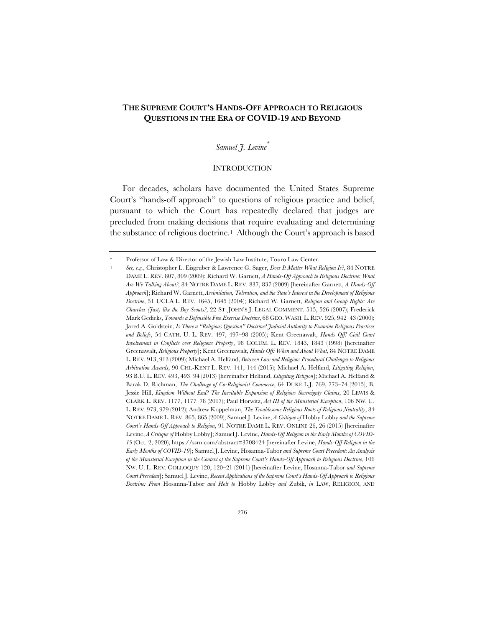# **THE SUPREME COURT'S HANDS-OFF APPROACH TO RELIGIOUS QUESTIONS IN THE ERA OF COVID-19 AND BEYOND**

### *Samuel J. Levine\**

#### **INTRODUCTION**

For decades, scholars have documented the United States Supreme Court's "hands-off approach" to questions of religious practice and belief, pursuant to which the Court has repeatedly declared that judges are precluded from making decisions that require evaluating and determining the substance of religious doctrine.1 Although the Court's approach is based

Professor of Law & Director of the Jewish Law Institute, Touro Law Center.

<sup>1</sup> *See, e.g.*, Christopher L. Eisgruber & Lawrence G. Sager, *Does It Matter What Religion Is?*, 84 NOTRE DAME L. REV. 807, 809 (2009); Richard W. Garnett, *A Hands-Off Approach to Religious Doctrine: What Are We Talking About?*, 84 NOTRE DAME L. REV. 837, 837 (2009) [hereinafter Garnett, *A Hands-Off Approach*]; Richard W. Garnett, *Assimilation, Toleration, and the State's Interest in the Development of Religious Doctrine*, 51 UCLA L. REV. 1645, 1645 (2004); Richard W. Garnett, *Religion and Group Rights: Are Churches (Just) like the Boy Scouts?*, 22 ST. JOHN'S J. LEGAL COMMENT. 515, 526 (2007); Frederick Mark Gedicks, *Towards a Defensible Free Exercise Doctrine*, 68 GEO. WASH. L. REV. 925, 942–43 (2000); Jared A. Goldstein, *Is There a "Religious Question" Doctrine? Judicial Authority to Examine Religious Practices and Beliefs*, 54 CATH. U. L. REV. 497, 497–98 (2005); Kent Greenawalt, *Hands Off! Civil Court Involvement in Conflicts over Religious Property*, 98 COLUM. L. REV. 1843, 1843 (1998) [hereinafter Greenawalt, *Religious Property*]; Kent Greenawalt, *Hands Off: When and About What*, 84 NOTRE DAME L. REV. 913, 913 (2009); Michael A. Helfand, *Between Law and Religion: Procedural Challenges to Religious Arbitration Awards*, 90 CHI.-KENT L. REV. 141, 144 (2015); Michael A. Helfand, *Litigating Religion*, 93 B.U. L. REV. 493, 493–94 (2013) [hereinafter Helfand, *Litigating Religion*]; Michael A. Helfand & Barak D. Richman, *The Challenge of Co-Religionist Commerce*, 64 DUKE L.J. 769, 773–74 (2015); B. Jessie Hill, *Kingdom Without End? The Inevitable Expansion of Religious Sovereignty Claims*, 20 LEWIS & CLARK L. REV. 1177, 1177–78 (2017); Paul Horwitz, *Act III of the Ministerial Exception*, 106 NW. U. L. REV. 973, 979 (2012); Andrew Koppelman, *The Troublesome Religious Roots of Religious Neutrality*, 84 NOTRE DAME L. REV. 865, 865 (2009); Samuel J. Levine, *A Critique of* Hobby Lobby *and the Supreme Court's Hands-Off Approach to Religion*, 91 NOTRE DAME L. REV. ONLINE 26, 26 (2015) [hereinafter Levine, *A Critique of* Hobby Lobby]; Samuel J. Levine, *Hands-Off Religion in the Early Months of COVID-19* (Oct. 2, 2020), https://ssrn.com/abstract=3708424 [hereinafter Levine, *Hands-Off Religion in the Early Months of COVID-19*]; Samuel J. Levine, Hosanna-Tabor *and Supreme Court Precedent: An Analysis of the Ministerial Exception in the Context of the Supreme Court's Hands-Off Approach to Religious Doctrine*, 106 NW. U. L. REV. COLLOQUY 120, 120–21 (2011) [hereinafter Levine, Hosanna-Tabor *and Supreme Court Precedent*]; Samuel J. Levine, *Recent Applications of the Supreme Court's Hands-Off Approach to Religious Doctrine: From* Hosanna-Tabor *and Holt to* Hobby Lobby *and* Zubik, *in* LAW, RELIGION, AND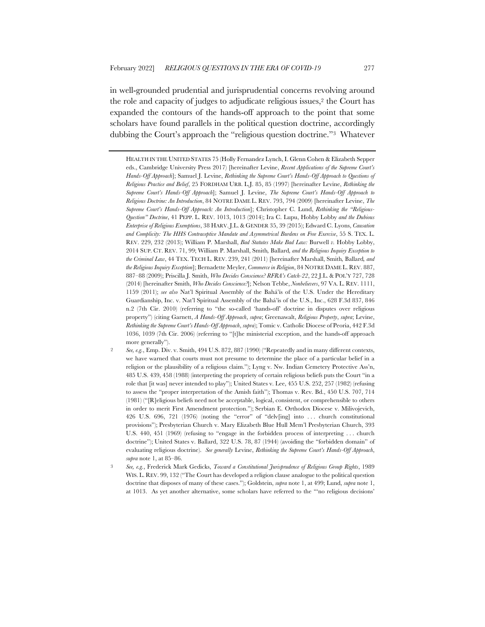in well-grounded prudential and jurisprudential concerns revolving around the role and capacity of judges to adjudicate religious issues,2 the Court has expanded the contours of the hands-off approach to the point that some scholars have found parallels in the political question doctrine, accordingly dubbing the Court's approach the "religious question doctrine."3 Whatever

HEALTH IN THE UNITED STATES 75 (Holly Fernandez Lynch, I. Glenn Cohen & Elizabeth Sepper eds., Cambridge University Press 2017) [hereinafter Levine, *Recent Applications of the Supreme Court's Hands-Off Approach*]; Samuel J. Levine, *Rethinking the Supreme Court's Hands-Off Approach to Questions of Religious Practice and Belief*, 25 FORDHAM URB. L.J. 85, 85 (1997) [hereinafter Levine, *Rethinking the Supreme Court's Hands-Off Approach*]; Samuel J. Levine, *The Supreme Court's Hands-Off Approach to Religious Doctrine: An Introduction*, 84 NOTRE DAME L. REV. 793, 794 (2009) [hereinafter Levine, *The Supreme Court's Hands-Off Approach: An Introduction*]; Christopher C. Lund, *Rethinking the "Religious-Question" Doctrine*, 41 PEPP. L. REV. 1013, 1013 (2014); Ira C. Lupu, Hobby Lobby *and the Dubious Enterprise of Religious Exemptions*, 38 HARV. J.L. & GENDER 35, 39 (2015); Edward C. Lyons, *Causation and Complicity: The HHS Contraceptive Mandate and Asymmetrical Burdens on Free Exercise*, 55 S. TEX. L. REV. 229, 232 (2013); William P. Marshall, *Bad Statutes Make Bad Law:* Burwell *v.* Hobby Lobby, 2014 SUP. CT. REV. 71, 99; William P. Marshall, Smith*,* Ballard*, and the Religious Inquiry Exception to the Criminal Law*, 44 TEX. TECH L. REV. 239, 241 (2011) [hereinafter Marshall, Smith*,* Ballard*, and the Religious Inquiry Exception*]; Bernadette Meyler, *Commerce in Religion*, 84 NOTRE DAME L. REV. 887, 887–88 (2009); Priscilla J. Smith, *Who Decides Conscience? RFRA's Catch-22*, 22 J.L. & POL'Y 727, 728 (2014) [hereinafter Smith, *Who Decides Conscience?*]; Nelson Tebbe, *Nonbelievers*, 97 VA. L. REV. 1111, 1159 (2011); *see also* Nat'l Spiritual Assembly of the Bahá'ís of the U.S. Under the Hereditary Guardianship, Inc. v. Nat'l Spiritual Assembly of the Bahá'ís of the U.S., Inc., 628 F.3d 837, 846 n.2 (7th Cir. 2010) (referring to "the so-called 'hands-off' doctrine in disputes over religious property") (citing Garnett, *A Hands-Off Approach*, *supra*; Greenawalt, *Religious Property*, *supra*; Levine, *Rethinking the Supreme Court's Hands-Off Approach*, *supra*); Tomic v. Catholic Diocese of Peoria, 442 F.3d 1036, 1039 (7th Cir. 2006) (referring to "[t]he ministerial exception, and the hands-off approach more generally").

<sup>2</sup> *See, e.g.*, Emp. Div. v. Smith, 494 U.S. 872, 887 (1990) ("Repeatedly and in many different contexts, we have warned that courts must not presume to determine the place of a particular belief in a religion or the plausibility of a religious claim."); Lyng v. Nw. Indian Cemetery Protective Ass'n, 485 U.S. 439, 458 (1988) (interpreting the propriety of certain religious beliefs puts the Court "in a role that [it was] never intended to play"); United States v. Lee, 455 U.S. 252, 257 (1982) (refusing to assess the "proper interpretation of the Amish faith"); Thomas v. Rev. Bd., 450 U.S. 707, 714 (1981) ("[R]eligious beliefs need not be acceptable, logical, consistent, or comprehensible to others in order to merit First Amendment protection."); Serbian E. Orthodox Diocese v. Milivojevich, 426 U.S. 696, 721 (1976) (noting the "error" of "delv[ing] into . . . church constitutional provisions"); Presbyterian Church v. Mary Elizabeth Blue Hull Mem'l Presbyterian Church, 393 U.S. 440, 451 (1969) (refusing to "engage in the forbidden process of interpreting . . . church doctrine"); United States v. Ballard, 322 U.S. 78, 87 (1944) (avoiding the "forbidden domain" of evaluating religious doctrine). *See generally* Levine, *Rethinking the Supreme Court's Hands-Off Approach*, *supra* note 1, at 85–86.

<sup>3</sup> *See, e.g.*, Frederick Mark Gedicks, *Toward a Constitutional Jurisprudence of Religious Group Rights*, 1989 WIS. L. REV. 99, 132 ("The Court has developed a religion clause analogue to the political question doctrine that disposes of many of these cases."); Goldstein, *supra* note 1, at 499; Lund, *supra* note 1, at 1013. As yet another alternative, some scholars have referred to the "'no religious decisions'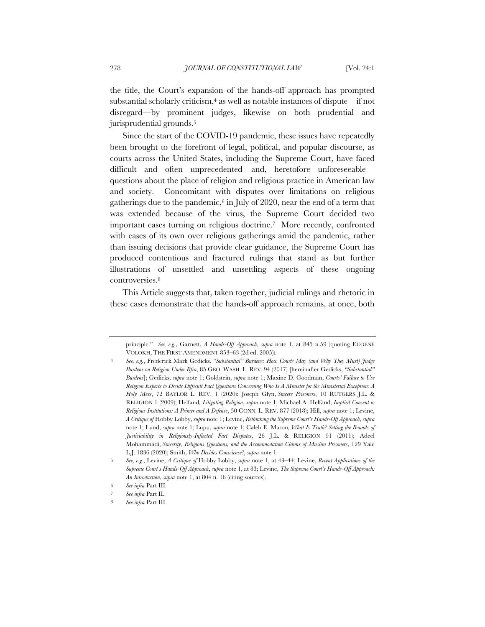the title, the Court's expansion of the hands-off approach has prompted substantial scholarly criticism,<sup>4</sup> as well as notable instances of dispute—if not disregard—by prominent judges, likewise on both prudential and jurisprudential grounds.<sup>5</sup>

Since the start of the COVID-19 pandemic, these issues have repeatedly been brought to the forefront of legal, political, and popular discourse, as courts across the United States, including the Supreme Court, have faced difficult and often unprecedented—and, heretofore unforeseeable questions about the place of religion and religious practice in American law and society. Concomitant with disputes over limitations on religious gatherings due to the pandemic,<sup>6</sup> in July of 2020, near the end of a term that was extended because of the virus, the Supreme Court decided two important cases turning on religious doctrine.7 More recently, confronted with cases of its own over religious gatherings amid the pandemic, rather than issuing decisions that provide clear guidance, the Supreme Court has produced contentious and fractured rulings that stand as but further illustrations of unsettled and unsettling aspects of these ongoing controversies.8

This Article suggests that, taken together, judicial rulings and rhetoric in these cases demonstrate that the hands-off approach remains, at once, both

principle." *See, e.g.*, Garnett, *A Hands-Off Approach*, *supra* note 1, at 845 n.59 (quoting EUGENE VOLOKH, THE FIRST AMENDMENT 853–63 (2d ed. 2005)).

<sup>4</sup> *See, e.g.*, Frederick Mark Gedicks, *"Substantial" Burdens: How Courts May (and Why They Must) Judge Burdens on Religion Under Rfra*, 85 GEO. WASH. L. REV. 94 (2017) [hereinafter Gedicks, *"Substantial" Burdens*]; Gedicks, *supra* note 1; Goldstein, *supra* note 1; Maxine D. Goodman, *Courts' Failure to Use Religion Experts to Decide Difficult Fact Questions Concerning Who Is A Minister for the Ministerial Exception: A Holy Mess*, 72 BAYLOR L. REV. 1 (2020); Joseph Glyn, *Sincere Prisoners*, 10 RUTGERS J.L. & RELIGION 1 (2009); Helfand*, Litigating Religion*, *supra* note 1; Michael A. Helfand, *Implied Consent to Religious Institutions: A Primer and A Defense*, 50 CONN. L. REV. 877 (2018); Hill, *supra* note 1; Levine, *A Critique of* Hobby Lobby, *supra* note 1; Levine, *Rethinking the Supreme Court's Hands-Off Approach*, *supra* note 1; Lund, *supra* note 1; Lupu, *supra* note 1; Caleb E. Mason*, What Is Truth? Setting the Bounds of Justiciability in Religiously-Inflected Fact Disputes*, 26 J.L. & RELIGION 91 (2011); Adeel Mohammadi, *Sincerity, Religious Questions, and the Accommodation Claims of Muslim Prisoners*, 129 Yale L.J. 1836 (2020); Smith, *Who Decides Conscience?*, *supra* note 1.

<sup>5</sup> *See, e.g.*, Levine, *A Critique of* Hobby Lobby, *supra* note 1, at 43–44; Levine, *Recent Applications of the Supreme Court's Hands-Off Approach*, *supra* note 1, at 83; Levine, *The Supreme Court's Hands-Off Approach: An Introduction*, *supra* note 1, at 804 n. 16 (citing sources).

<sup>6</sup> *See infra* Part III.

<sup>7</sup> *See infra* Part II.

<sup>8</sup> *See infra* Part III.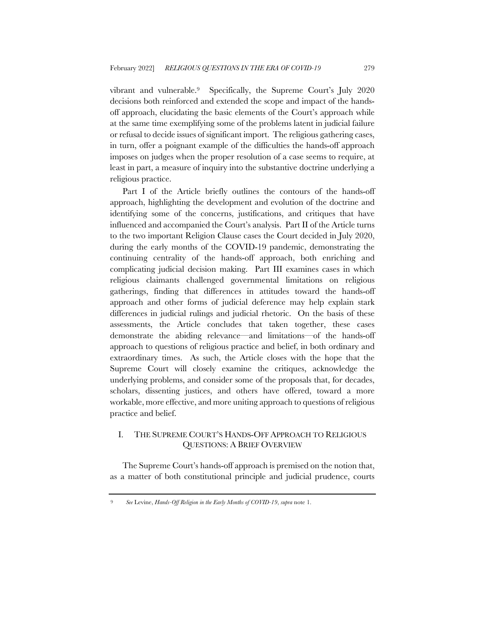vibrant and vulnerable.9 Specifically, the Supreme Court's July 2020 decisions both reinforced and extended the scope and impact of the handsoff approach, elucidating the basic elements of the Court's approach while at the same time exemplifying some of the problems latent in judicial failure or refusal to decide issues of significant import. The religious gathering cases, in turn, offer a poignant example of the difficulties the hands-off approach imposes on judges when the proper resolution of a case seems to require, at least in part, a measure of inquiry into the substantive doctrine underlying a religious practice.

Part I of the Article briefly outlines the contours of the hands-off approach, highlighting the development and evolution of the doctrine and identifying some of the concerns, justifications, and critiques that have influenced and accompanied the Court's analysis. Part II of the Article turns to the two important Religion Clause cases the Court decided in July 2020, during the early months of the COVID-19 pandemic, demonstrating the continuing centrality of the hands-off approach, both enriching and complicating judicial decision making. Part III examines cases in which religious claimants challenged governmental limitations on religious gatherings, finding that differences in attitudes toward the hands-off approach and other forms of judicial deference may help explain stark differences in judicial rulings and judicial rhetoric. On the basis of these assessments, the Article concludes that taken together, these cases demonstrate the abiding relevance—and limitations—of the hands-off approach to questions of religious practice and belief, in both ordinary and extraordinary times. As such, the Article closes with the hope that the Supreme Court will closely examine the critiques, acknowledge the underlying problems, and consider some of the proposals that, for decades, scholars, dissenting justices, and others have offered, toward a more workable, more effective, and more uniting approach to questions of religious practice and belief.

## I. THE SUPREME COURT'S HANDS-OFF APPROACH TO RELIGIOUS QUESTIONS: A BRIEF OVERVIEW

The Supreme Court's hands-off approach is premised on the notion that, as a matter of both constitutional principle and judicial prudence, courts

<sup>9</sup> *See* Levine, *Hands-Off Religion in the Early Months of COVID-19*, *supra* note 1.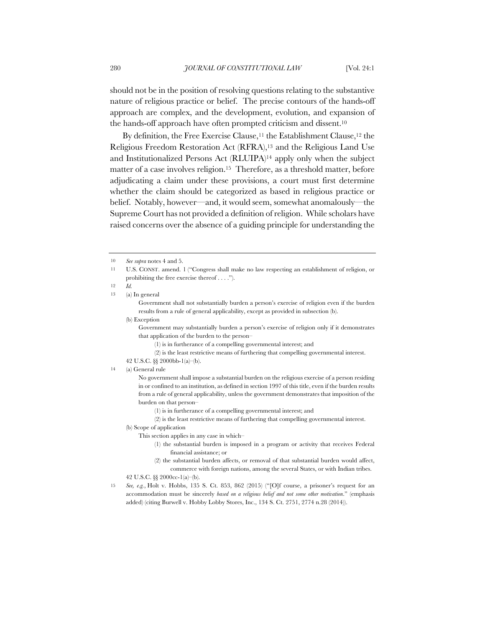should not be in the position of resolving questions relating to the substantive nature of religious practice or belief. The precise contours of the hands-off approach are complex, and the development, evolution, and expansion of the hands-off approach have often prompted criticism and dissent.10

By definition, the Free Exercise Clause,<sup>11</sup> the Establishment Clause,<sup>12</sup> the Religious Freedom Restoration Act (RFRA),13 and the Religious Land Use and Institutionalized Persons Act (RLUIPA)14 apply only when the subject matter of a case involves religion.15 Therefore, as a threshold matter, before adjudicating a claim under these provisions, a court must first determine whether the claim should be categorized as based in religious practice or belief. Notably, however—and, it would seem, somewhat anomalously—the Supreme Court has not provided a definition of religion. While scholars have raised concerns over the absence of a guiding principle for understanding the

Government shall not substantially burden a person's exercise of religion even if the burden results from a rule of general applicability, except as provided in subsection (b).

(b) Exception

Government may substantially burden a person's exercise of religion only if it demonstrates that application of the burden to the person–

(2) is the least restrictive means of furthering that compelling governmental interest.

14 (a) General rule

No government shall impose a substantial burden on the religious exercise of a person residing in or confined to an institution, as defined in section 1997 of this title, even if the burden results from a rule of general applicability, unless the government demonstrates that imposition of the burden on that person–

- (1) is in furtherance of a compelling governmental interest; and
- (2) is the least restrictive means of furthering that compelling governmental interest.

(b) Scope of application

This section applies in any case in which–

- (1) the substantial burden is imposed in a program or activity that receives Federal financial assistance; or
- (2) the substantial burden affects, or removal of that substantial burden would affect, commerce with foreign nations, among the several States, or with Indian tribes.
- 42 U.S.C. §§ 2000cc-1(a)–(b).
- 15 *See, e.g.*, Holt v. Hobbs, 135 S. Ct. 853, 862 (2015) ("[O]f course, a prisoner's request for an accommodation must be sincerely *based on a religious belief and not some other motivation*." (emphasis added) (citing Burwell v. Hobby Lobby Stores, Inc., 134 S. Ct. 2751, 2774 n.28 (2014)).

<sup>10</sup> *See supra* notes 4 and 5.

<sup>11</sup> U.S. CONST. amend. 1 ("Congress shall make no law respecting an establishment of religion, or prohibiting the free exercise thereof . . . .").

<sup>12</sup> *Id.*

<sup>13</sup> (a) In general

<sup>(1)</sup> is in furtherance of a compelling governmental interest; and

<sup>42</sup> U.S.C. §§ 2000bb-1(a)–(b).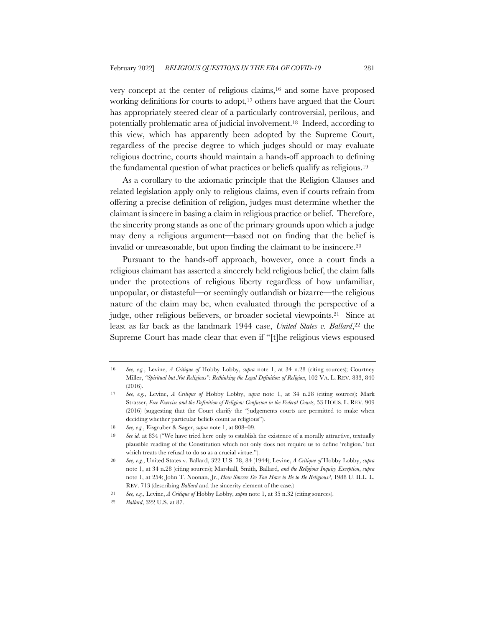very concept at the center of religious claims,16 and some have proposed working definitions for courts to adopt,<sup>17</sup> others have argued that the Court has appropriately steered clear of a particularly controversial, perilous, and potentially problematic area of judicial involvement.18 Indeed, according to this view, which has apparently been adopted by the Supreme Court, regardless of the precise degree to which judges should or may evaluate religious doctrine, courts should maintain a hands-off approach to defining the fundamental question of what practices or beliefs qualify as religious.19

As a corollary to the axiomatic principle that the Religion Clauses and related legislation apply only to religious claims, even if courts refrain from offering a precise definition of religion, judges must determine whether the claimant is sincere in basing a claim in religious practice or belief. Therefore, the sincerity prong stands as one of the primary grounds upon which a judge may deny a religious argument—based not on finding that the belief is invalid or unreasonable, but upon finding the claimant to be insincere.20

Pursuant to the hands-off approach, however, once a court finds a religious claimant has asserted a sincerely held religious belief, the claim falls under the protections of religious liberty regardless of how unfamiliar, unpopular, or distasteful—or seemingly outlandish or bizarre—the religious nature of the claim may be, when evaluated through the perspective of a judge, other religious believers, or broader societal viewpoints.21 Since at least as far back as the landmark 1944 case, *United States v. Ballard*,<sup>22</sup> the Supreme Court has made clear that even if "[t]he religious views espoused

<sup>16</sup> *See, e.g.*, Levine, *A Critique of* Hobby Lobby, *supra* note 1, at 34 n.28 (citing sources); Courtney Miller, *"Spiritual but Not Religious": Rethinking the Legal Definition of Religion*, 102 VA. L. REV. 833, 840  $(2016)$ 

<sup>17</sup> *See, e.g.*, Levine, *A Critique of* Hobby Lobby, *supra* note 1, at 34 n.28 (citing sources); Mark Strasser, *Free Exercise and the Definition of Religion: Confusion in the Federal Courts,* 53 HOUS. L. REV. 909 (2016) (suggesting that the Court clarify the "judgements courts are permitted to make when deciding whether particular beliefs count as religious").

<sup>18</sup> *See, e.g.*, Eisgruber & Sager, *supra* note 1, at 808–09.

<sup>19</sup> *See id.* at 834 ("We have tried here only to establish the existence of a morally attractive, textually plausible reading of the Constitution which not only does not require us to define 'religion,' but which treats the refusal to do so as a crucial virtue.").

<sup>20</sup> *See, e.g.*, United States v. Ballard, 322 U.S. 78, 84 (1944); Levine, *A Critique of* Hobby Lobby, *supra*  note 1, at 34 n.28 (citing sources); Marshall, Smith*,* Ballard*, and the Religious Inquiry Exception*, *supra* note 1, at 254; John T. Noonan, Jr., *How Sincere Do You Have to Be to Be Religious?*, 1988 U. ILL. L. REV. 713 (describing *Ballard* and the sincerity element of the case.)

<sup>21</sup> *See, e.g.*, Levine, *A Critique of* Hobby Lobby, *supra* note 1, at 35 n.32 (citing sources).

<sup>22</sup> *Ballard*, 322 U.S. at 87.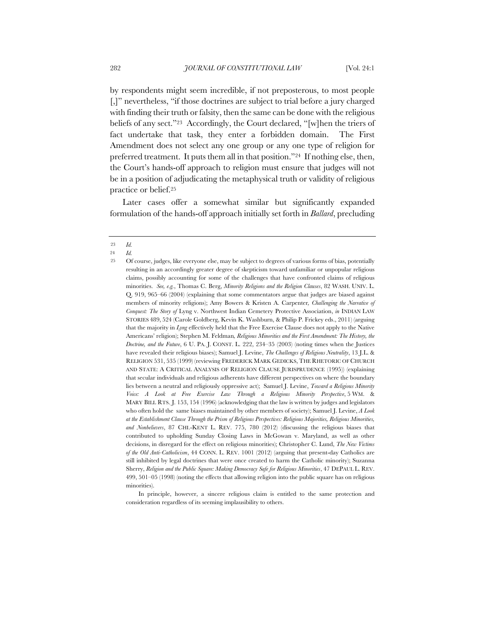by respondents might seem incredible, if not preposterous, to most people [,]" nevertheless, "if those doctrines are subject to trial before a jury charged with finding their truth or falsity, then the same can be done with the religious beliefs of any sect."23 Accordingly, the Court declared, "[w]hen the triers of fact undertake that task, they enter a forbidden domain. The First Amendment does not select any one group or any one type of religion for preferred treatment. It puts them all in that position."24 If nothing else, then, the Court's hands-off approach to religion must ensure that judges will not be in a position of adjudicating the metaphysical truth or validity of religious practice or belief.25

Later cases offer a somewhat similar but significantly expanded formulation of the hands-off approach initially set forth in *Ballard*, precluding

In principle, however, a sincere religious claim is entitled to the same protection and consideration regardless of its seeming implausibility to others.

<sup>23</sup> *Id.*

<sup>24</sup> *Id.*

<sup>25</sup> Of course, judges, like everyone else, may be subject to degrees of various forms of bias, potentially resulting in an accordingly greater degree of skepticism toward unfamiliar or unpopular religious claims, possibly accounting for some of the challenges that have confronted claims of religious minorities. *See, e.g.*, Thomas C. Berg, *Minority Religions and the Religion Clauses*, 82 WASH. UNIV. L. Q. 919, 965–66 (2004) (explaining that some commentators argue that judges are biased against members of minority religions); Amy Bowers & Kristen A. Carpenter*, Challenging the Narrative of Conquest: The Story of* Lyng v. Northwest Indian Cemetery Protective Association, *in* INDIAN LAW STORIES 489, 524 (Carole Goldberg, Kevin K. Washburn, & Philip P. Frickey eds., 2011) (arguing that the majority in *Lyng* effectively held that the Free Exercise Clause does not apply to the Native Americans' religion); Stephen M. Feldman*, Religious Minorities and the First Amendment: The History, the Doctrine, and the Future*, 6 U. PA. J. CONST. L. 222, 234–35 (2003) (noting times when the Justices have revealed their religious biases); Samuel J. Levine, *The Challenges of Religious Neutrality*, 13 J.L. & RELIGION 531, 535 (1999) (reviewing FREDERICK MARK GEDICKS, THE RHETORIC OF CHURCH AND STATE: A CRITICAL ANALYSIS OF RELIGION CLAUSE JURISPRUDENCE (1995)) (explaining that secular individuals and religious adherents have different perspectives on where the boundary lies between a neutral and religiously oppressive act); Samuel J. Levine, *Toward a Religious Minority Voice: A Look at Free Exercise Law Through a Religious Minority Perspective*, 5 WM. & MARY BILL RTS. J. 153, 154 (1996) (acknowledging that the law is written by judges and legislators who often hold the same biases maintained by other members of society); Samuel J. Levine, *A Look at the Establishment Clause Through the Prism of Religious Perspectives: Religious Majorities, Religious Minorities, and Nonbelievers*, 87 CHI.-KENT L. REV. 775, 780 (2012) (discussing the religious biases that contributed to upholding Sunday Closing Laws in McGowan v. Maryland, as well as other decisions, in disregard for the effect on religious minorities); Christopher C. Lund, *The New Victims of the Old Anti-Catholicism*, 44 CONN. L. REV. 1001 (2012) (arguing that present-day Catholics are still inhibited by legal doctrines that were once created to harm the Catholic minority); Suzanna Sherry, *Religion and the Public Square: Making Democracy Safe for Religious Minorities*, 47 DEPAUL L. REV. 499, 501–05 (1998) (noting the effects that allowing religion into the public square has on religious minorities).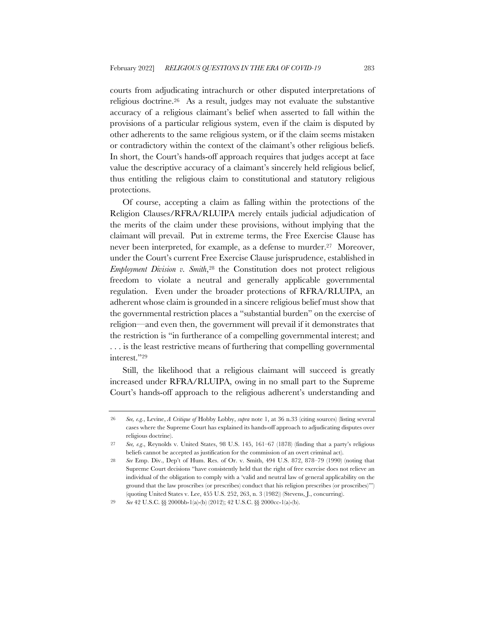courts from adjudicating intrachurch or other disputed interpretations of religious doctrine.26 As a result, judges may not evaluate the substantive accuracy of a religious claimant's belief when asserted to fall within the provisions of a particular religious system, even if the claim is disputed by other adherents to the same religious system, or if the claim seems mistaken or contradictory within the context of the claimant's other religious beliefs. In short, the Court's hands-off approach requires that judges accept at face value the descriptive accuracy of a claimant's sincerely held religious belief, thus entitling the religious claim to constitutional and statutory religious protections.

Of course, accepting a claim as falling within the protections of the Religion Clauses/RFRA/RLUIPA merely entails judicial adjudication of the merits of the claim under these provisions, without implying that the claimant will prevail. Put in extreme terms, the Free Exercise Clause has never been interpreted, for example, as a defense to murder.27 Moreover, under the Court's current Free Exercise Clause jurisprudence, established in *Employment Division v. Smith*,<sup>28</sup> the Constitution does not protect religious freedom to violate a neutral and generally applicable governmental regulation. Even under the broader protections of RFRA/RLUIPA, an adherent whose claim is grounded in a sincere religious belief must show that the governmental restriction places a "substantial burden" on the exercise of religion—and even then, the government will prevail if it demonstrates that the restriction is "in furtherance of a compelling governmental interest; and . . . is the least restrictive means of furthering that compelling governmental interest."29

Still, the likelihood that a religious claimant will succeed is greatly increased under RFRA/RLUIPA, owing in no small part to the Supreme Court's hands-off approach to the religious adherent's understanding and

<sup>26</sup> *See, e.g.*, Levine, *A Critique of* Hobby Lobby, *supra* note 1, at 36 n.33 (citing sources) (listing several cases where the Supreme Court has explained its hands-off approach to adjudicating disputes over religious doctrine).

<sup>27</sup> *See, e.g*., Reynolds v. United States, 98 U.S. 145, 161–67 (1878) (finding that a party's religious beliefs cannot be accepted as justification for the commission of an overt criminal act).

<sup>28</sup> *See* Emp. Div., Dep't of Hum. Res. of Or. v. Smith, 494 U.S. 872, 878–79 (1990) (noting that Supreme Court decisions "have consistently held that the right of free exercise does not relieve an individual of the obligation to comply with a 'valid and neutral law of general applicability on the ground that the law proscribes (or prescribes) conduct that his religion prescribes (or proscribes)'") (quoting United States v. Lee, 455 U.S. 252, 263, n. 3 (1982)) (Stevens, J., concurring).

<sup>29</sup> *See* 42 U.S.C. §§ 2000bb-1(a)-(b) (2012); 42 U.S.C. §§ 2000cc-1(a)-(b).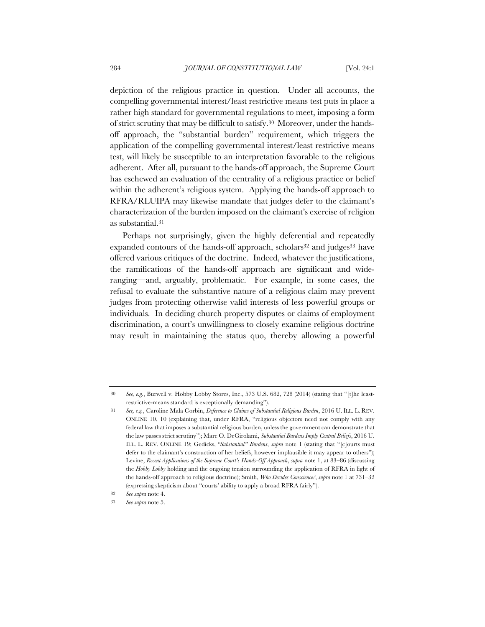depiction of the religious practice in question. Under all accounts, the compelling governmental interest/least restrictive means test puts in place a rather high standard for governmental regulations to meet, imposing a form of strict scrutiny that may be difficult to satisfy.30 Moreover, under the handsoff approach, the "substantial burden" requirement, which triggers the application of the compelling governmental interest/least restrictive means test, will likely be susceptible to an interpretation favorable to the religious adherent. After all, pursuant to the hands-off approach, the Supreme Court has eschewed an evaluation of the centrality of a religious practice or belief within the adherent's religious system. Applying the hands-off approach to RFRA/RLUIPA may likewise mandate that judges defer to the claimant's characterization of the burden imposed on the claimant's exercise of religion as substantial.31

Perhaps not surprisingly, given the highly deferential and repeatedly expanded contours of the hands-off approach, scholars<sup>32</sup> and judges<sup>33</sup> have offered various critiques of the doctrine. Indeed, whatever the justifications, the ramifications of the hands-off approach are significant and wideranging—and, arguably, problematic. For example, in some cases, the refusal to evaluate the substantive nature of a religious claim may prevent judges from protecting otherwise valid interests of less powerful groups or individuals. In deciding church property disputes or claims of employment discrimination, a court's unwillingness to closely examine religious doctrine may result in maintaining the status quo, thereby allowing a powerful

<sup>30</sup> *See, e.g.*, Burwell v. Hobby Lobby Stores, Inc., 573 U.S. 682, 728 (2014) (stating that "[t]he leastrestrictive-means standard is exceptionally demanding").

<sup>31</sup> *See, e.g.*, Caroline Mala Corbin, *Deference to Claims of Substantial Religious Burden*, 2016 U. ILL. L. REV. ONLINE 10, 10 (explaining that, under RFRA, "religious objectors need not comply with any federal law that imposes a substantial religious burden, unless the government can demonstrate that the law passes strict scrutiny"); Marc O. DeGirolami, *Substantial Burdens Imply Central Beliefs*, 2016 U. ILL. L. REV. ONLINE 19; Gedicks, *"Substantial" Burdens*, *supra* note 1 (stating that "[c]ourts must defer to the claimant's construction of her beliefs, however implausible it may appear to others"); Levine, *Recent Applications of the Supreme Court's Hands-Off Approach*, *supra* note 1, at 83–86 (discussing the *Hobby Lobby* holding and the ongoing tension surrounding the application of RFRA in light of the hands-off approach to religious doctrine); Smith, *Who Decides Conscience?*, *supra* note 1 at 731–32 (expressing skepticism about "courts' ability to apply a broad RFRA fairly").

<sup>32</sup> *See supra* note 4.

<sup>33</sup> *See supra* note 5.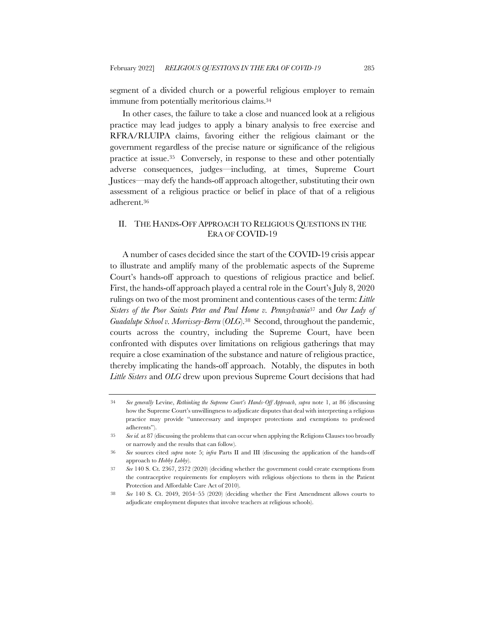segment of a divided church or a powerful religious employer to remain immune from potentially meritorious claims.34

In other cases, the failure to take a close and nuanced look at a religious practice may lead judges to apply a binary analysis to free exercise and RFRA/RLUIPA claims, favoring either the religious claimant or the government regardless of the precise nature or significance of the religious practice at issue.35 Conversely, in response to these and other potentially adverse consequences, judges—including, at times, Supreme Court Justices—may defy the hands-off approach altogether, substituting their own assessment of a religious practice or belief in place of that of a religious adherent.36

### II. THE HANDS-OFF APPROACH TO RELIGIOUS QUESTIONS IN THE ERA OF COVID-19

A number of cases decided since the start of the COVID-19 crisis appear to illustrate and amplify many of the problematic aspects of the Supreme Court's hands-off approach to questions of religious practice and belief. First, the hands-off approach played a central role in the Court's July 8, 2020 rulings on two of the most prominent and contentious cases of the term: *Little Sisters of the Poor Saints Peter and Paul Home v. Pennsylvania*<sup>37</sup> and *Our Lady of Guadalupe School v. Morrissey-Berru* (*OLG*).38 Second, throughout the pandemic, courts across the country, including the Supreme Court, have been confronted with disputes over limitations on religious gatherings that may require a close examination of the substance and nature of religious practice, thereby implicating the hands-off approach. Notably, the disputes in both *Little Sisters* and *OLG* drew upon previous Supreme Court decisions that had

<sup>34</sup> *See generally* Levine, *Rethinking the Supreme Court's Hands-Off Approach*, *supra* note 1, at 86 (discussing how the Supreme Court's unwillingness to adjudicate disputes that deal with interpreting a religious practice may provide "unnecessary and improper protections and exemptions to professed adherents").

<sup>35</sup> *See id.* at 87 (discussing the problems that can occur when applying the Religions Clauses too broadly or narrowly and the results that can follow).

<sup>36</sup> *See* sources cited *supra* note 5; *infra* Parts II and III (discussing the application of the hands-off approach to *Hobby Lobby*).

<sup>37</sup> *See* 140 S. Ct. 2367, 2372 (2020) (deciding whether the government could create exemptions from the contraceptive requirements for employers with religious objections to them in the Patient Protection and Affordable Care Act of 2010).

<sup>38</sup> *See* 140 S. Ct. 2049, 2054–55 (2020) (deciding whether the First Amendment allows courts to adjudicate employment disputes that involve teachers at religious schools).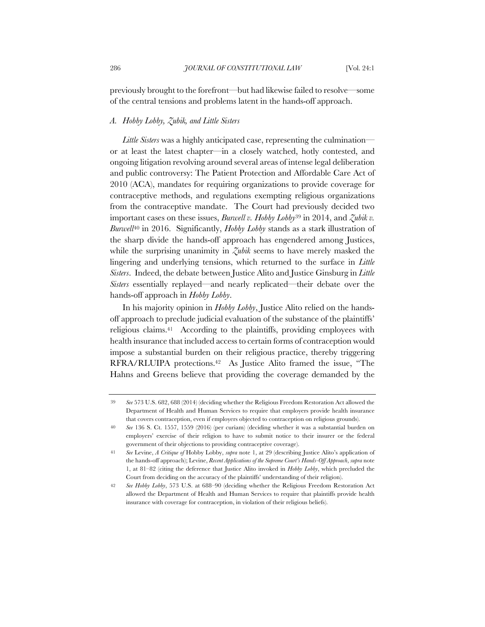previously brought to the forefront—but had likewise failed to resolve—some of the central tensions and problems latent in the hands-off approach.

### *A. Hobby Lobby, Zubik, and Little Sisters*

*Little Sisters* was a highly anticipated case, representing the culmination or at least the latest chapter—in a closely watched, hotly contested, and ongoing litigation revolving around several areas of intense legal deliberation and public controversy: The Patient Protection and Affordable Care Act of 2010 (ACA), mandates for requiring organizations to provide coverage for contraceptive methods, and regulations exempting religious organizations from the contraceptive mandate. The Court had previously decided two important cases on these issues, *Burwell v. Hobby Lobby*<sup>39</sup> in 2014, and *Zubik v. Burwell*<sup>40</sup> in 2016. Significantly, *Hobby Lobby* stands as a stark illustration of the sharp divide the hands-off approach has engendered among Justices, while the surprising unanimity in *Zubik* seems to have merely masked the lingering and underlying tensions, which returned to the surface in *Little Sisters*. Indeed, the debate between Justice Alito and Justice Ginsburg in *Little Sisters* essentially replayed—and nearly replicated—their debate over the hands-off approach in *Hobby Lobby*.

In his majority opinion in *Hobby Lobby*, Justice Alito relied on the handsoff approach to preclude judicial evaluation of the substance of the plaintiffs' religious claims.41 According to the plaintiffs, providing employees with health insurance that included access to certain forms of contraception would impose a substantial burden on their religious practice, thereby triggering RFRA/RLUIPA protections.42 As Justice Alito framed the issue, "The Hahns and Greens believe that providing the coverage demanded by the

<sup>39</sup> *See* 573 U.S. 682, 688 (2014) (deciding whether the Religious Freedom Restoration Act allowed the Department of Health and Human Services to require that employers provide health insurance that covers contraception, even if employers objected to contraception on religious grounds).

<sup>40</sup> *See* 136 S. Ct. 1557, 1559 (2016) (per curiam) (deciding whether it was a substantial burden on employers' exercise of their religion to have to submit notice to their insurer or the federal government of their objections to providing contraceptive coverage).

<sup>41</sup> *See* Levine, *A Critique of* Hobby Lobby, *supra* note 1, at 29 (describing Justice Alito's application of the hands-off approach); Levine, *Recent Applications of the Supreme Court's Hands-Off Approach*, *supra* note 1, at 81–82 (citing the deference that Justice Alito invoked in *Hobby Lobby*, which precluded the Court from deciding on the accuracy of the plaintiffs' understanding of their religion).

<sup>42</sup> *See Hobby Lobby*, 573 U.S. at 688–90 (deciding whether the Religious Freedom Restoration Act allowed the Department of Health and Human Services to require that plaintiffs provide health insurance with coverage for contraception, in violation of their religious beliefs).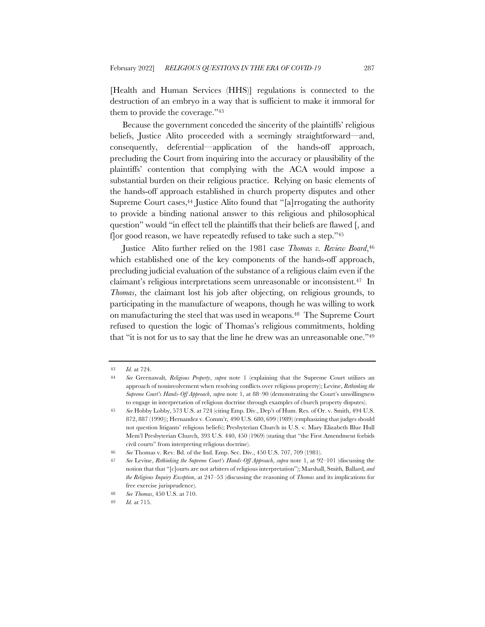[Health and Human Services (HHS)] regulations is connected to the destruction of an embryo in a way that is sufficient to make it immoral for them to provide the coverage."43

Because the government conceded the sincerity of the plaintiffs' religious beliefs, Justice Alito proceeded with a seemingly straightforward—and, consequently, deferential—application of the hands-off approach, precluding the Court from inquiring into the accuracy or plausibility of the plaintiffs' contention that complying with the ACA would impose a substantial burden on their religious practice. Relying on basic elements of the hands-off approach established in church property disputes and other Supreme Court cases,<sup>44</sup> Justice Alito found that "[a]rrogating the authority to provide a binding national answer to this religious and philosophical question" would "in effect tell the plaintiffs that their beliefs are flawed [, and f]or good reason, we have repeatedly refused to take such a step."45

Justice Alito further relied on the 1981 case *Thomas v. Review Board*,<sup>46</sup> which established one of the key components of the hands-off approach, precluding judicial evaluation of the substance of a religious claim even if the claimant's religious interpretations seem unreasonable or inconsistent.47 In *Thomas*, the claimant lost his job after objecting, on religious grounds, to participating in the manufacture of weapons, though he was willing to work on manufacturing the steel that was used in weapons.48 The Supreme Court refused to question the logic of Thomas's religious commitments, holding that "it is not for us to say that the line he drew was an unreasonable one."49

<sup>43</sup> *Id.* at 724.

<sup>44</sup> *See* Greenawalt*, Religious Property*, *supra* note 1 (explaining that the Supreme Court utilizes an approach of noninvolvement when resolving conflicts over religious property); Levine, *Rethinking the Supreme Court's Hands-Off Approach*, *supra* note 1, at 88–90 (demonstrating the Court's unwillingness to engage in interpretation of religious doctrine through examples of church property disputes).

<sup>45</sup> *See* Hobby Lobby, 573 U.S. at 724 (citing Emp. Div., Dep't of Hum. Res. of Or. v. Smith, 494 U.S. 872, 887 (1990)); Hernandez v. Comm'r*,* 490 U.S. 680, 699 (1989) (emphasizing that judges should not question litigants' religious beliefs); Presbyterian Church in U.S. v. Mary Elizabeth Blue Hull Mem'l Presbyterian Church*,* 393 U.S. 440, 450 (1969) (stating that "the First Amendment forbids civil courts" from interpreting religious doctrine).

<sup>46</sup> *See* Thomas v. Rev. Bd. of the Ind. Emp. Sec. Div., 450 U.S. 707, 709 (1981).

<sup>47</sup> *See* Levine, *Rethinking the Supreme Court's Hands-Off Approach*, *supra* note 1, at 92–101 (discussing the notion that that "[c]ourts are not arbiters of religious interpretation"); Marshall, Smith*,* Ballard*, and the Religious Inquiry Exception*, at 247–53 (discussing the reasoning of *Thomas* and its implications for free exercise jurisprudence).

<sup>48</sup> *See Thomas*, 450 U.S. at 710.

<sup>49</sup> *Id.* at 715.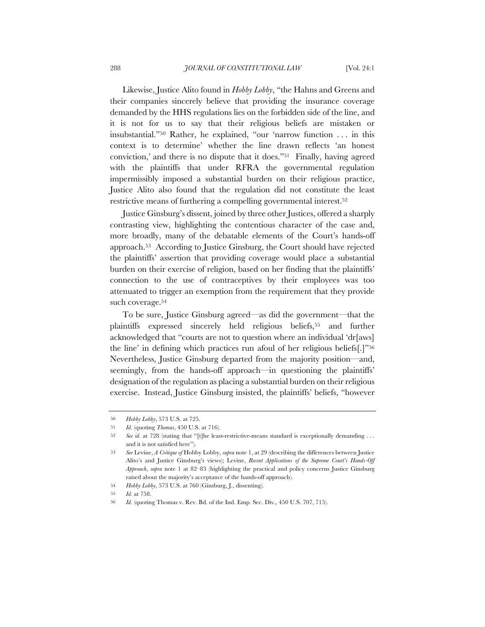Likewise, Justice Alito found in *Hobby Lobby*, "the Hahns and Greens and their companies sincerely believe that providing the insurance coverage demanded by the HHS regulations lies on the forbidden side of the line, and it is not for us to say that their religious beliefs are mistaken or insubstantial."50 Rather, he explained, "our 'narrow function . . . in this context is to determine' whether the line drawn reflects 'an honest conviction,' and there is no dispute that it does."51 Finally, having agreed with the plaintiffs that under RFRA the governmental regulation impermissibly imposed a substantial burden on their religious practice, Justice Alito also found that the regulation did not constitute the least restrictive means of furthering a compelling governmental interest.52

Justice Ginsburg's dissent, joined by three other Justices, offered a sharply contrasting view, highlighting the contentious character of the case and, more broadly, many of the debatable elements of the Court's hands-off approach.53 According to Justice Ginsburg, the Court should have rejected the plaintiffs' assertion that providing coverage would place a substantial burden on their exercise of religion, based on her finding that the plaintiffs' connection to the use of contraceptives by their employees was too attenuated to trigger an exemption from the requirement that they provide such coverage.54

To be sure, Justice Ginsburg agreed—as did the government—that the plaintiffs expressed sincerely held religious beliefs,55 and further acknowledged that "courts are not to question where an individual 'dr[aws] the line' in defining which practices run afoul of her religious beliefs[.]"56 Nevertheless, Justice Ginsburg departed from the majority position—and, seemingly, from the hands-off approach—in questioning the plaintiffs' designation of the regulation as placing a substantial burden on their religious exercise. Instead, Justice Ginsburg insisted, the plaintiffs' beliefs, "however

<sup>50</sup> *Hobby Lobby*, 573 U.S. at 725.

<sup>51</sup> *Id.* (quoting *Thomas*, 450 U.S. at 716).

<sup>52</sup> *See id.* at 728 (stating that "[t]he least-restrictive-means standard is exceptionally demanding . . . and it is not satisfied here").

<sup>53</sup> *See* Levine, *A Critique of* Hobby Lobby, *supra* note 1, at 29 (describing the differences between Justice Alito's and Justice Ginsburg's views); Levine, *Recent Applications of the Supreme Court's Hands-Off Approach*, *supra* note 1 at 82–83 (highlighting the practical and policy concerns Justice Ginsburg raised about the majority's acceptance of the hands-off approach).

<sup>54</sup> *Hobby Lobby*, 573 U.S. at 760 (Ginsburg, J., dissenting).

<sup>55</sup> *Id.* at 758.

<sup>56</sup> *Id.* (quoting Thomas v. Rev. Bd. of the Ind. Emp. Sec. Div.*,* 450 U.S. 707, 715).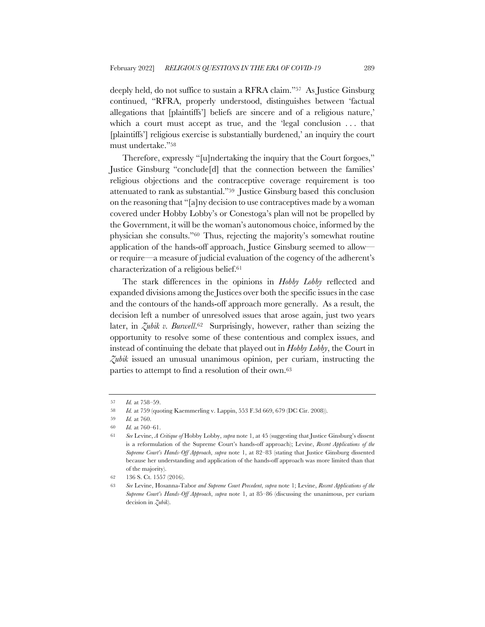deeply held, do not suffice to sustain a RFRA claim."57 As Justice Ginsburg continued, "RFRA, properly understood, distinguishes between 'factual allegations that [plaintiffs'] beliefs are sincere and of a religious nature,' which a court must accept as true, and the 'legal conclusion ... that [plaintiffs'] religious exercise is substantially burdened,' an inquiry the court must undertake."58

Therefore, expressly "[u]ndertaking the inquiry that the Court forgoes," Justice Ginsburg "conclude[d] that the connection between the families' religious objections and the contraceptive coverage requirement is too attenuated to rank as substantial."59 Justice Ginsburg based this conclusion on the reasoning that "[a]ny decision to use contraceptives made by a woman covered under Hobby Lobby's or Conestoga's plan will not be propelled by the Government, it will be the woman's autonomous choice, informed by the physician she consults."60 Thus, rejecting the majority's somewhat routine application of the hands-off approach, Justice Ginsburg seemed to allow or require—a measure of judicial evaluation of the cogency of the adherent's characterization of a religious belief.61

The stark differences in the opinions in *Hobby Lobby* reflected and expanded divisions among the Justices over both the specific issues in the case and the contours of the hands-off approach more generally. As a result, the decision left a number of unresolved issues that arose again, just two years later, in *Zubik v. Burwell*.62 Surprisingly, however, rather than seizing the opportunity to resolve some of these contentious and complex issues, and instead of continuing the debate that played out in *Hobby Lobby*, the Court in *Zubik* issued an unusual unanimous opinion, per curiam, instructing the parties to attempt to find a resolution of their own.63

<sup>57</sup> *Id.* at 758–59.

<sup>58</sup> *Id.* at 759 (quoting Kaemmerling v. Lappin, 553 F.3d 669, 679 (DC Cir. 2008)).

<sup>59</sup> *Id.* at 760.

<sup>60</sup> *Id.* at 760–61.

<sup>61</sup> *See* Levine, *A Critique of* Hobby Lobby, *supra* note 1, at 45 (suggesting that Justice Ginsburg's dissent is a reformulation of the Supreme Court's hands-off approach); Levine, *Recent Applications of the Supreme Court's Hands-Off Approach*, *supra* note 1, at 82–83 (stating that Justice Ginsburg dissented because her understanding and application of the hands-off approach was more limited than that of the majority).

<sup>62</sup> 136 S. Ct. 1557 (2016).

<sup>63</sup> *See* Levine, Hosanna-Tabor *and Supreme Court Precedent*, *supra* note 1; Levine, *Recent Applications of the Supreme Court's Hands-Off Approach*, *supra* note 1, at 85–86 (discussing the unanimous, per curiam decision in *Zubik*).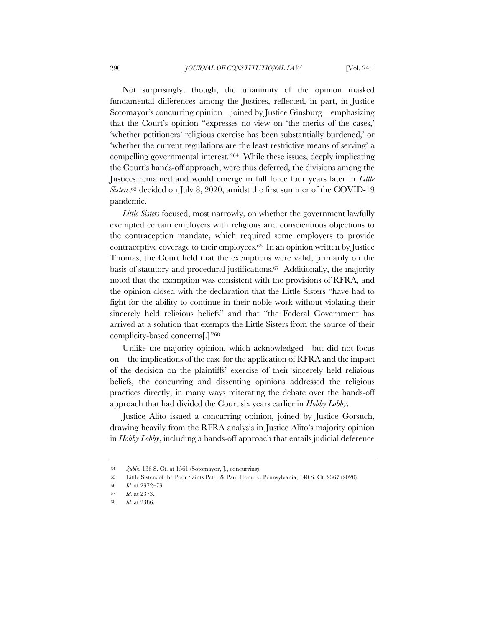Not surprisingly, though, the unanimity of the opinion masked fundamental differences among the Justices, reflected, in part, in Justice Sotomayor's concurring opinion—joined by Justice Ginsburg—emphasizing that the Court's opinion "expresses no view on 'the merits of the cases,' 'whether petitioners' religious exercise has been substantially burdened,' or 'whether the current regulations are the least restrictive means of serving' a compelling governmental interest."64 While these issues, deeply implicating the Court's hands-off approach, were thus deferred, the divisions among the Justices remained and would emerge in full force four years later in *Little Sisters*,65 decided on July 8, 2020, amidst the first summer of the COVID-19 pandemic.

*Little Sisters* focused, most narrowly, on whether the government lawfully exempted certain employers with religious and conscientious objections to the contraception mandate, which required some employers to provide contraceptive coverage to their employees.66 In an opinion written by Justice Thomas, the Court held that the exemptions were valid, primarily on the basis of statutory and procedural justifications.67 Additionally, the majority noted that the exemption was consistent with the provisions of RFRA, and the opinion closed with the declaration that the Little Sisters "have had to fight for the ability to continue in their noble work without violating their sincerely held religious beliefs" and that "the Federal Government has arrived at a solution that exempts the Little Sisters from the source of their complicity-based concerns[.]"68

Unlike the majority opinion, which acknowledged—but did not focus on—the implications of the case for the application of RFRA and the impact of the decision on the plaintiffs' exercise of their sincerely held religious beliefs, the concurring and dissenting opinions addressed the religious practices directly, in many ways reiterating the debate over the hands-off approach that had divided the Court six years earlier in *Hobby Lobby*.

Justice Alito issued a concurring opinion, joined by Justice Gorsuch, drawing heavily from the RFRA analysis in Justice Alito's majority opinion in *Hobby Lobby*, including a hands-off approach that entails judicial deference

<sup>64</sup> *Zubik*, 136 S. Ct. at 1561 (Sotomayor, J., concurring).

<sup>65</sup> Little Sisters of the Poor Saints Peter & Paul Home v. Pennsylvania, 140 S. Ct. 2367 (2020).

<sup>66</sup> *Id.* at 2372–73.

<sup>67</sup> *Id.* at 2373.

<sup>68</sup> *Id.* at 2386.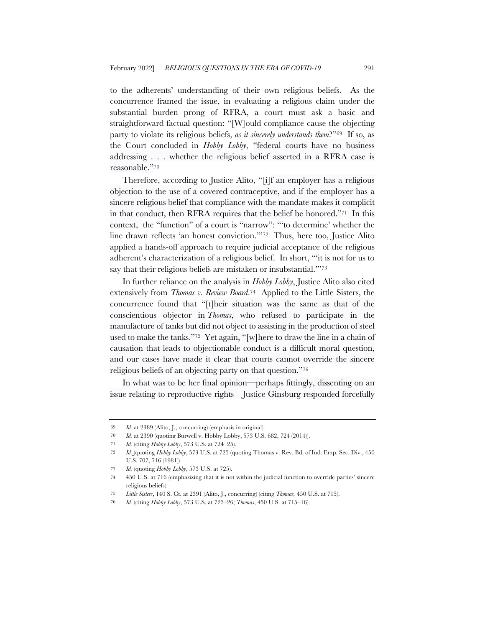to the adherents' understanding of their own religious beliefs. As the concurrence framed the issue, in evaluating a religious claim under the substantial burden prong of RFRA, a court must ask a basic and straightforward factual question: "[W]ould compliance cause the objecting party to violate its religious beliefs, *as it sincerely understands them*?"69 If so, as the Court concluded in *Hobby Lobby*, "federal courts have no business addressing . . . whether the religious belief asserted in a RFRA case is reasonable."70

Therefore, according to Justice Alito, "[i]f an employer has a religious objection to the use of a covered contraceptive, and if the employer has a sincere religious belief that compliance with the mandate makes it complicit in that conduct, then RFRA requires that the belief be honored."71 In this context, the "function" of a court is "narrow": "'to determine' whether the line drawn reflects 'an honest conviction.'"72 Thus, here too, Justice Alito applied a hands-off approach to require judicial acceptance of the religious adherent's characterization of a religious belief. In short, "'it is not for us to say that their religious beliefs are mistaken or insubstantial.'"73

In further reliance on the analysis in *Hobby Lobby*, Justice Alito also cited extensively from *Thomas v. Review Board*.74 Applied to the Little Sisters, the concurrence found that "[t]heir situation was the same as that of the conscientious objector in *Thomas*, who refused to participate in the manufacture of tanks but did not object to assisting in the production of steel used to make the tanks."75 Yet again, "[w]here to draw the line in a chain of causation that leads to objectionable conduct is a difficult moral question, and our cases have made it clear that courts cannot override the sincere religious beliefs of an objecting party on that question."76

In what was to be her final opinion—perhaps fittingly, dissenting on an issue relating to reproductive rights—Justice Ginsburg responded forcefully

<sup>69</sup> *Id.* at 2389 (Alito, J., concurring) (emphasis in original).

<sup>70</sup> *Id.* at 2390 (quoting Burwell v. Hobby Lobby, 573 U.S. 682, 724 (2014)).

<sup>71</sup> *Id.* (citing *Hobby Lobby*, 573 U.S. at 724–25).

<sup>72</sup> *Id.* (quoting *Hobby Lobby*, 573 U.S. at 725 (quoting Thomas v. Rev. Bd. of Ind. Emp. Sec. Div., 450 U.S. 707, 716 (1981)).

<sup>73</sup> *Id.* (quoting *Hobby Lobby*, 573 U.S. at 725).

<sup>74</sup> 450 U.S. at 716 (emphasizing that it is not within the judicial function to override parties' sincere religious beliefs).

<sup>75</sup> *Little Sisters*, 140 S. Ct. at 2391 (Alito, J., concurring) (citing *Thomas,* 450 U.S. at 715).

<sup>76</sup> *Id.* (citing *Hobby Lobby*, 573 U.S. at 723–26; *Thomas*, 450 U.S. at 715–16).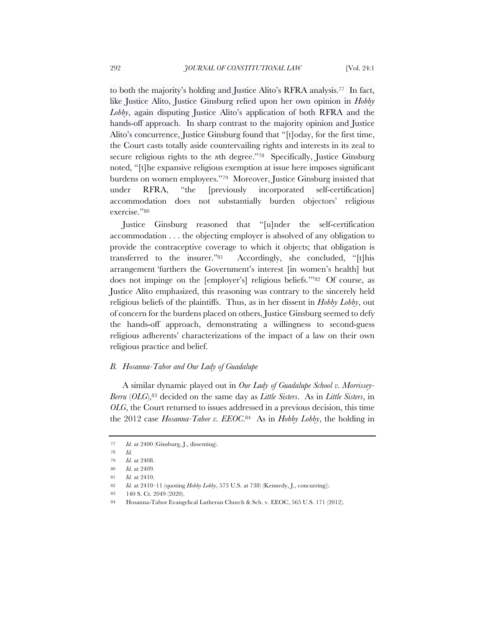to both the majority's holding and Justice Alito's RFRA analysis.77 In fact, like Justice Alito, Justice Ginsburg relied upon her own opinion in *Hobby Lobby*, again disputing Justice Alito's application of both RFRA and the hands-off approach. In sharp contrast to the majority opinion and Justice Alito's concurrence, Justice Ginsburg found that "[t]oday, for the first time, the Court casts totally aside countervailing rights and interests in its zeal to secure religious rights to the *n*th degree."<sup>78</sup> Specifically, Justice Ginsburg noted, "[t]he expansive religious exemption at issue here imposes significant burdens on women employees."79 Moreover, Justice Ginsburg insisted that under RFRA, "the [previously incorporated self-certification] accommodation does not substantially burden objectors' religious exercise."80

Justice Ginsburg reasoned that "[u]nder the self-certification accommodation . . . the objecting employer is absolved of any obligation to provide the contraceptive coverage to which it objects; that obligation is transferred to the insurer."81 Accordingly, she concluded, "[t]his arrangement 'furthers the Government's interest [in women's health] but does not impinge on the [employer's] religious beliefs.'"82 Of course, as Justice Alito emphasized, this reasoning was contrary to the sincerely held religious beliefs of the plaintiffs. Thus, as in her dissent in *Hobby Lobby*, out of concern for the burdens placed on others, Justice Ginsburg seemed to defy the hands-off approach, demonstrating a willingness to second-guess religious adherents' characterizations of the impact of a law on their own religious practice and belief.

### *B. Hosanna-Tabor and Our Lady of Guadalupe*

A similar dynamic played out in *Our Lady of Guadalupe School v. Morrissey-Berru* (*OLG*),83 decided on the same day as *Little Sisters*. As in *Little Sisters*, in *OLG*, the Court returned to issues addressed in a previous decision, this time the 2012 case *Hosanna-Tabor v. EEOC*.84 As in *Hobby Lobby*, the holding in

<sup>77</sup> *Id.* at 2400 (Ginsburg, J., dissenting).

<sup>78</sup> *Id.*

<sup>79</sup> *Id.* at 2408.

<sup>80</sup> *Id.* at 2409.

<sup>81</sup> *Id.* at 2410.

<sup>82</sup> *Id.* at 2410–11 (quoting *Hobby Lobby*, 573 U.S. at 738) (Kennedy, J., concurring)).

<sup>83</sup> 140 S. Ct. 2049 (2020).

<sup>84</sup> Hosanna-Tabor Evangelical Lutheran Church & Sch. v. EEOC, 565 U.S. 171 (2012).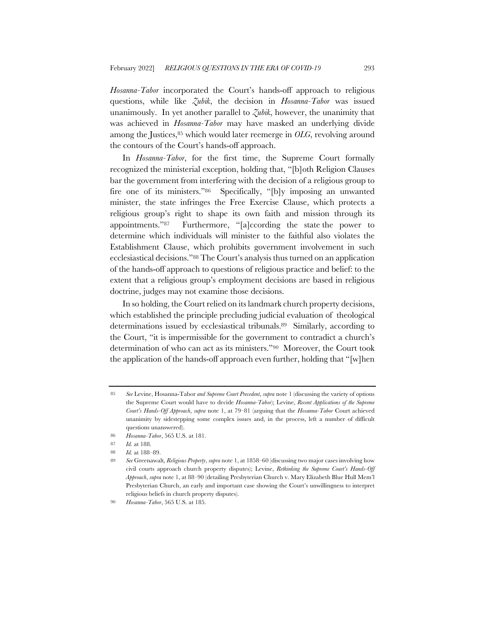*Hosanna-Tabor* incorporated the Court's hands-off approach to religious questions, while like *Zubik*, the decision in *Hosanna-Tabor* was issued unanimously. In yet another parallel to *Zubik*, however, the unanimity that was achieved in *Hosanna-Tabor* may have masked an underlying divide among the Justices, <sup>85</sup> which would later reemerge in *OLG*, revolving around the contours of the Court's hands-off approach.

In *Hosanna-Tabor*, for the first time, the Supreme Court formally recognized the ministerial exception, holding that, "[b]oth Religion Clauses bar the government from interfering with the decision of a religious group to fire one of its ministers."86 Specifically, "[b]y imposing an unwanted minister, the state infringes the Free Exercise Clause, which protects a religious group's right to shape its own faith and mission through its appointments."87 Furthermore, "[a]ccording the state the power to determine which individuals will minister to the faithful also violates the Establishment Clause, which prohibits government involvement in such ecclesiastical decisions."88 The Court's analysis thus turned on an application of the hands-off approach to questions of religious practice and belief: to the extent that a religious group's employment decisions are based in religious doctrine, judges may not examine those decisions.

In so holding, the Court relied on its landmark church property decisions, which established the principle precluding judicial evaluation of theological determinations issued by ecclesiastical tribunals.89 Similarly, according to the Court, "it is impermissible for the government to contradict a church's determination of who can act as its ministers."90 Moreover, the Court took the application of the hands-off approach even further, holding that "[w]hen

<sup>85</sup> *See* Levine, Hosanna-Tabor *and Supreme Court Precedent*, *supra* note 1 (discussing the variety of options the Supreme Court would have to decide *Hosanna-Tabor*); Levine, *Recent Applications of the Supreme Court's Hands-Off Approach*, *supra* note 1, at 79–81 (arguing that the *Hosanna-Tabor* Court achieved unanimity by sidestepping some complex issues and, in the process, left a number of difficult questions unanswered).

<sup>86</sup> *Hosanna-Tabor*, 565 U.S. at 181.

<sup>87</sup> *Id.* at 188.

<sup>88</sup> *Id.* at 188–89.

<sup>89</sup> *See* Greenawalt*, Religious Property*, *supra* note 1, at 1858–60 (discussing two major cases involving how civil courts approach church property disputes); Levine, *Rethinking the Supreme Court's Hands-Off Approach*, *supra* note 1, at 88–90 (detailing Presbyterian Church v. Mary Elizabeth Blue Hull Mem'l Presbyterian Church, an early and important case showing the Court's unwillingness to interpret religious beliefs in church property disputes).

<sup>90</sup> *Hosanna-Tabor*, 565 U.S. at 185.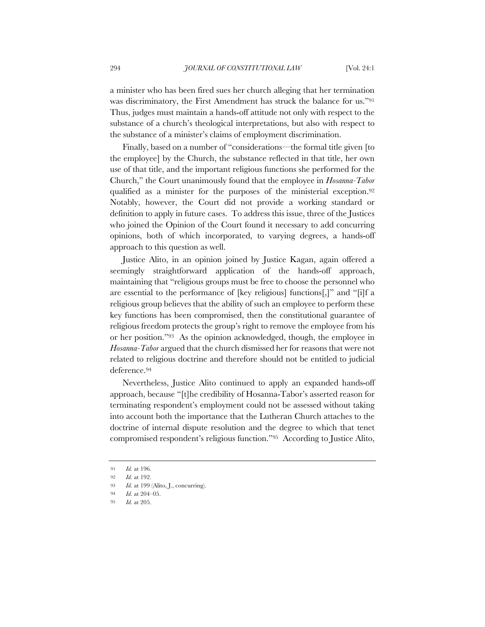a minister who has been fired sues her church alleging that her termination was discriminatory, the First Amendment has struck the balance for us."91 Thus, judges must maintain a hands-off attitude not only with respect to the substance of a church's theological interpretations, but also with respect to the substance of a minister's claims of employment discrimination.

Finally, based on a number of "considerations—the formal title given [to the employee] by the Church, the substance reflected in that title, her own use of that title, and the important religious functions she performed for the Church," the Court unanimously found that the employee in *Hosanna-Tabor* qualified as a minister for the purposes of the ministerial exception.92 Notably, however, the Court did not provide a working standard or definition to apply in future cases. To address this issue, three of the Justices who joined the Opinion of the Court found it necessary to add concurring opinions, both of which incorporated, to varying degrees, a hands-off approach to this question as well.

Justice Alito, in an opinion joined by Justice Kagan, again offered a seemingly straightforward application of the hands-off approach, maintaining that "religious groups must be free to choose the personnel who are essential to the performance of [key religious] functions[,]" and "[i]f a religious group believes that the ability of such an employee to perform these key functions has been compromised, then the constitutional guarantee of religious freedom protects the group's right to remove the employee from his or her position."93 As the opinion acknowledged, though, the employee in *Hosanna-Tabor* argued that the church dismissed her for reasons that were not related to religious doctrine and therefore should not be entitled to judicial deference.94

Nevertheless, Justice Alito continued to apply an expanded hands-off approach, because "[t]he credibility of Hosanna-Tabor's asserted reason for terminating respondent's employment could not be assessed without taking into account both the importance that the Lutheran Church attaches to the doctrine of internal dispute resolution and the degree to which that tenet compromised respondent's religious function."95 According to Justice Alito,

<sup>91</sup> *Id.* at 196.

<sup>92</sup> *Id.* at 192.

<sup>93</sup> *Id.* at 199 (Alito, J., concurring).

<sup>94</sup> *Id.* at 204–05.

<sup>95</sup> *Id.* at 205.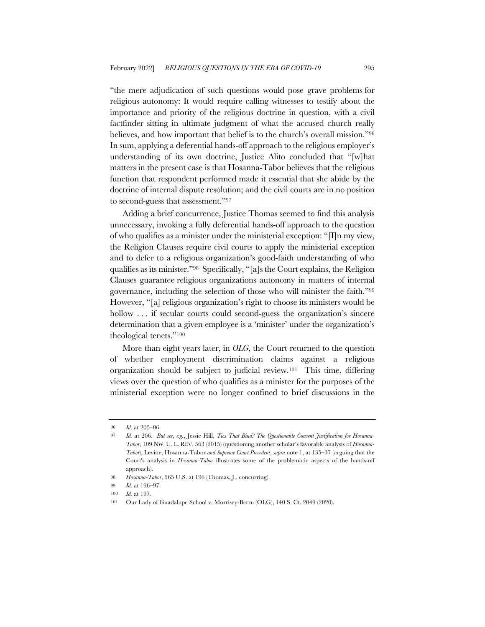"the mere adjudication of such questions would pose grave problems for religious autonomy: It would require calling witnesses to testify about the importance and priority of the religious doctrine in question, with a civil factfinder sitting in ultimate judgment of what the accused church really believes, and how important that belief is to the church's overall mission."96 In sum, applying a deferential hands-off approach to the religious employer's understanding of its own doctrine, Justice Alito concluded that "[w]hat matters in the present case is that Hosanna-Tabor believes that the religious function that respondent performed made it essential that she abide by the doctrine of internal dispute resolution; and the civil courts are in no position to second-guess that assessment."97

Adding a brief concurrence, Justice Thomas seemed to find this analysis unnecessary, invoking a fully deferential hands-off approach to the question of who qualifies as a minister under the ministerial exception: " $\prod$ n my view, the Religion Clauses require civil courts to apply the ministerial exception and to defer to a religious organization's good-faith understanding of who qualifies as its minister."98 Specifically, "[a]s the Court explains, the Religion Clauses guarantee religious organizations autonomy in matters of internal governance, including the selection of those who will minister the faith."99 However, "[a] religious organization's right to choose its ministers would be hollow ... if secular courts could second-guess the organization's sincere determination that a given employee is a 'minister' under the organization's theological tenets."100

More than eight years later, in *OLG*, the Court returned to the question of whether employment discrimination claims against a religious organization should be subject to judicial review.101 This time, differing views over the question of who qualifies as a minister for the purposes of the ministerial exception were no longer confined to brief discussions in the

<sup>96</sup> *Id.* at 205–06.

<sup>97</sup> *Id.* at 206. *But see*, *e.g.*, Jessie Hill, *Ties That Bind? The Questionable Consent Justification for Hosanna-Tabor*, 109 NW. U. L. REV. 563 (2015) (questioning another scholar's favorable analysis of *Hosanna-Tabor*); Levine, Hosanna-Tabor *and Supreme Court Precedent*, *supra* note 1, at 135–37 (arguing that the Court's analysis in *Hosanna-Tabor* illustrates some of the problematic aspects of the hands-off approach).

<sup>98</sup> *Hosanna-Tabor*, 565 U.S. at 196 (Thomas, J,. concurring).

<sup>99</sup> *Id.* at 196–97.

<sup>100</sup> *Id.* at 197.

<sup>101</sup> Our Lady of Guadalupe School v. Morrisey-Berru (OLG), 140 S. Ct. 2049 (2020).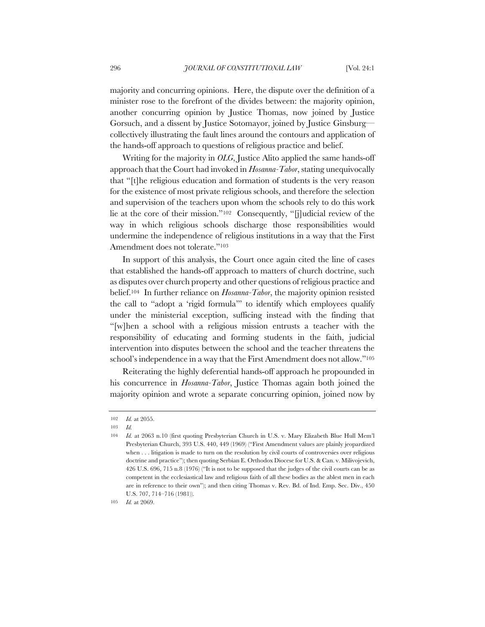majority and concurring opinions. Here, the dispute over the definition of a minister rose to the forefront of the divides between: the majority opinion, another concurring opinion by Justice Thomas, now joined by Justice Gorsuch, and a dissent by Justice Sotomayor, joined by Justice Ginsburg collectively illustrating the fault lines around the contours and application of the hands-off approach to questions of religious practice and belief.

Writing for the majority in *OLG*, Justice Alito applied the same hands-off approach that the Court had invoked in *Hosanna-Tabor*, stating unequivocally that "[t]he religious education and formation of students is the very reason for the existence of most private religious schools, and therefore the selection and supervision of the teachers upon whom the schools rely to do this work lie at the core of their mission."102 Consequently, "[j]udicial review of the way in which religious schools discharge those responsibilities would undermine the independence of religious institutions in a way that the First Amendment does not tolerate."103

In support of this analysis, the Court once again cited the line of cases that established the hands-off approach to matters of church doctrine, such as disputes over church property and other questions of religious practice and belief.104 In further reliance on *Hosanna-Tabor*, the majority opinion resisted the call to "adopt a 'rigid formula'" to identify which employees qualify under the ministerial exception, sufficing instead with the finding that "[w]hen a school with a religious mission entrusts a teacher with the responsibility of educating and forming students in the faith, judicial intervention into disputes between the school and the teacher threatens the school's independence in a way that the First Amendment does not allow."105

Reiterating the highly deferential hands-off approach he propounded in his concurrence in *Hosanna-Tabor*, Justice Thomas again both joined the majority opinion and wrote a separate concurring opinion, joined now by

<sup>102</sup> *Id.* at 2055.

<sup>103</sup> *Id.*

<sup>104</sup> *Id.* at 2063 n.10 (first quoting Presbyterian Church in U.S. v. Mary Elizabeth Blue Hull Mem'l Presbyterian Church, 393 U.S. 440, 449 (1969) ("First Amendment values are plainly jeopardized when . . . litigation is made to turn on the resolution by civil courts of controversies over religious doctrine and practice"); then quoting Serbian E. Orthodox Diocese for U.S. & Can. v. Milivojevich, 426 U.S. 696, 715 n.8 (1976) ("It is not to be supposed that the judges of the civil courts can be as competent in the ecclesiastical law and religious faith of all these bodies as the ablest men in each are in reference to their own"); and then citing Thomas v. Rev. Bd. of Ind. Emp. Sec. Div., 450 U.S. 707, 714–716 (1981)).

<sup>105</sup> *Id.* at 2069.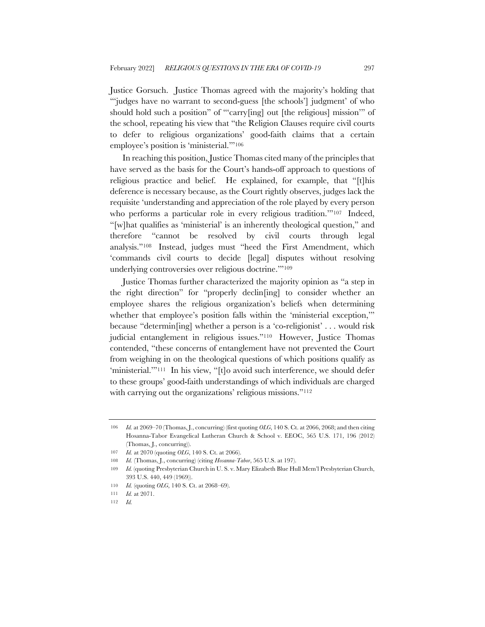Justice Gorsuch. Justice Thomas agreed with the majority's holding that "'judges have no warrant to second-guess [the schools'] judgment' of who should hold such a position" of "'carry[ing] out [the religious] mission'" of the school, repeating his view that "the Religion Clauses require civil courts to defer to religious organizations' good-faith claims that a certain employee's position is 'ministerial.'"106

In reaching this position, Justice Thomas cited many of the principles that have served as the basis for the Court's hands-off approach to questions of religious practice and belief. He explained, for example, that "[t]his deference is necessary because, as the Court rightly observes, judges lack the requisite 'understanding and appreciation of the role played by every person who performs a particular role in every religious tradition."<sup>107</sup> Indeed, "[w]hat qualifies as 'ministerial' is an inherently theological question," and therefore "cannot be resolved by civil courts through legal analysis."108 Instead, judges must "heed the First Amendment, which 'commands civil courts to decide [legal] disputes without resolving underlying controversies over religious doctrine.'"109

Justice Thomas further characterized the majority opinion as "a step in the right direction" for "properly declin[ing] to consider whether an employee shares the religious organization's beliefs when determining whether that employee's position falls within the 'ministerial exception," because "determin[ing] whether a person is a 'co-religionist' . . . would risk judicial entanglement in religious issues."110 However, Justice Thomas contended, "these concerns of entanglement have not prevented the Court from weighing in on the theological questions of which positions qualify as 'ministerial.'"<sup>111</sup> In his view, "[t]o avoid such interference, we should defer to these groups' good-faith understandings of which individuals are charged with carrying out the organizations' religious missions."<sup>112</sup>

<sup>106</sup> *Id.* at 2069–70 (Thomas, J., concurring) (first quoting *OLG*, 140 S. Ct. at 2066, 2068; and then citing Hosanna-Tabor Evangelical Lutheran Church & School v. EEOC, 565 U.S. 171, 196 (2012) (Thomas, J., concurring)).

<sup>107</sup> *Id.* at 2070 (quoting *OLG*, 140 S. Ct. at 2066).

<sup>108</sup> *Id.* (Thomas, J., concurring) (citing *Hosanna-Tabor*, 565 U.S. at 197).

<sup>109</sup> *Id.* (quoting Presbyterian Church in U. S. v. Mary Elizabeth Blue Hull Mem'l Presbyterian Church, 393 U.S. 440, 449 (1969)).

<sup>110</sup> *Id.* (quoting *OLG*, 140 S. Ct. at 2068–69).

<sup>111</sup> *Id.* at 2071.

<sup>112</sup> *Id.*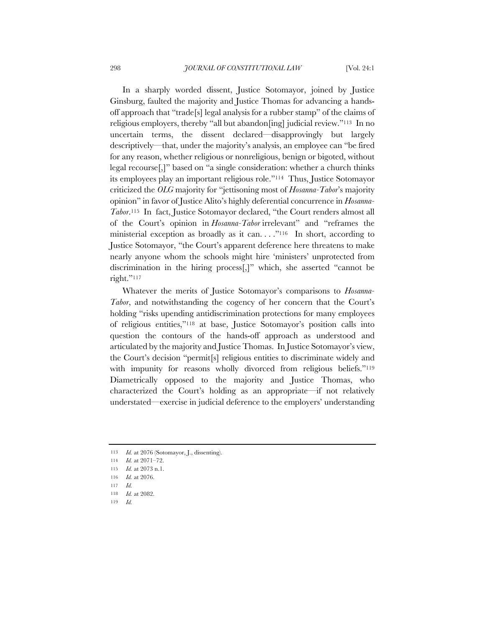In a sharply worded dissent, Justice Sotomayor, joined by Justice Ginsburg, faulted the majority and Justice Thomas for advancing a handsoff approach that "trade[s] legal analysis for a rubber stamp" of the claims of religious employers, thereby "all but abandon[ing] judicial review."113 In no uncertain terms, the dissent declared—disapprovingly but largely descriptively—that, under the majority's analysis, an employee can "be fired for any reason, whether religious or nonreligious, benign or bigoted, without legal recourse[,]" based on "a single consideration: whether a church thinks its employees play an important religious role."114 Thus, Justice Sotomayor criticized the *OLG* majority for "jettisoning most of *Hosanna-Tabor*'s majority opinion" in favor of Justice Alito's highly deferential concurrence in *Hosanna-Tabor*.115 In fact, Justice Sotomayor declared, "the Court renders almost all of the Court's opinion in *Hosanna-Tabor* irrelevant" and "reframes the ministerial exception as broadly as it can. . . ."116 In short, according to Justice Sotomayor, "the Court's apparent deference here threatens to make nearly anyone whom the schools might hire 'ministers' unprotected from discrimination in the hiring process[,]" which, she asserted "cannot be right."<sup>117</sup>

Whatever the merits of Justice Sotomayor's comparisons to *Hosanna-Tabor*, and notwithstanding the cogency of her concern that the Court's holding "risks upending antidiscrimination protections for many employees of religious entities,"118 at base, Justice Sotomayor's position calls into question the contours of the hands-off approach as understood and articulated by the majority and Justice Thomas. In Justice Sotomayor's view, the Court's decision "permit[s] religious entities to discriminate widely and with impunity for reasons wholly divorced from religious beliefs."<sup>119</sup> Diametrically opposed to the majority and Justice Thomas, who characterized the Court's holding as an appropriate—if not relatively understated—exercise in judicial deference to the employers' understanding

<sup>113</sup> *Id.* at 2076 (Sotomayor, J., dissenting).

<sup>114</sup> *Id.* at 2071–72.

<sup>115</sup> *Id.* at 2073 n.1.

<sup>116</sup> *Id.* at 2076.

<sup>117</sup> *Id.*

<sup>118</sup> *Id.* at 2082.

<sup>119</sup> *Id.*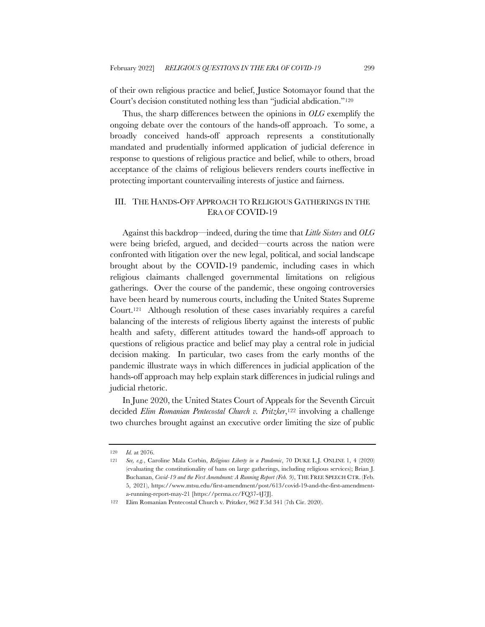of their own religious practice and belief, Justice Sotomayor found that the Court's decision constituted nothing less than "judicial abdication."120

Thus, the sharp differences between the opinions in *OLG* exemplify the ongoing debate over the contours of the hands-off approach. To some, a broadly conceived hands-off approach represents a constitutionally mandated and prudentially informed application of judicial deference in response to questions of religious practice and belief, while to others, broad acceptance of the claims of religious believers renders courts ineffective in protecting important countervailing interests of justice and fairness.

### III. THE HANDS-OFF APPROACH TO RELIGIOUS GATHERINGS IN THE ERA OF COVID-19

Against this backdrop—indeed, during the time that *Little Sisters* and *OLG* were being briefed, argued, and decided—courts across the nation were confronted with litigation over the new legal, political, and social landscape brought about by the COVID-19 pandemic, including cases in which religious claimants challenged governmental limitations on religious gatherings. Over the course of the pandemic, these ongoing controversies have been heard by numerous courts, including the United States Supreme Court.121 Although resolution of these cases invariably requires a careful balancing of the interests of religious liberty against the interests of public health and safety, different attitudes toward the hands-off approach to questions of religious practice and belief may play a central role in judicial decision making. In particular, two cases from the early months of the pandemic illustrate ways in which differences in judicial application of the hands-off approach may help explain stark differences in judicial rulings and judicial rhetoric.

In June 2020, the United States Court of Appeals for the Seventh Circuit decided *Elim Romanian Pentecostal Church v. Pritzker*,122 involving a challenge two churches brought against an executive order limiting the size of public

<sup>120</sup> *Id.* at 2076.

<sup>121</sup> *See, e.g.*, Caroline Mala Corbin, *Religious Liberty in a Pandemic*, 70 DUKE L.J. ONLINE 1, 4 (2020) (evaluating the constitutionality of bans on large gatherings, including religious services); Brian J. Buchanan, *Covid-19 and the First Amendment: A Running Report (Feb. 9)*, THE FREE SPEECH CTR. (Feb. 5, 2021), https://www.mtsu.edu/first-amendment/post/613/covid-19-and-the-first-amendmenta-running-report-may-21 [https://perma.cc/FQ37-4J7J].

<sup>122</sup> Elim Romanian Pentecostal Church v. Pritzker, 962 F.3d 341 (7th Cir. 2020).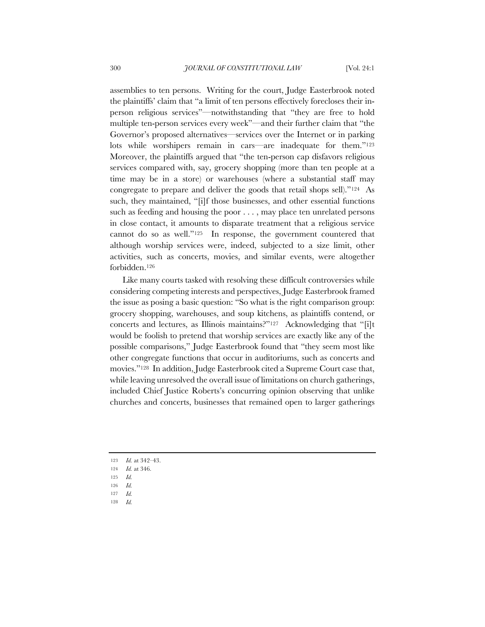assemblies to ten persons. Writing for the court, Judge Easterbrook noted the plaintiffs' claim that "a limit of ten persons effectively forecloses their inperson religious services"—notwithstanding that "they are free to hold multiple ten-person services every week"—and their further claim that "the Governor's proposed alternatives—services over the Internet or in parking lots while worshipers remain in cars—are inadequate for them."123 Moreover, the plaintiffs argued that "the ten-person cap disfavors religious services compared with, say, grocery shopping (more than ten people at a time may be in a store) or warehouses (where a substantial staff may congregate to prepare and deliver the goods that retail shops sell)."124 As such, they maintained, "[i]f those businesses, and other essential functions such as feeding and housing the poor . . . , may place ten unrelated persons in close contact, it amounts to disparate treatment that a religious service cannot do so as well."125 In response, the government countered that although worship services were, indeed, subjected to a size limit, other activities, such as concerts, movies, and similar events, were altogether forbidden.126

Like many courts tasked with resolving these difficult controversies while considering competing interests and perspectives, Judge Easterbrook framed the issue as posing a basic question: "So what is the right comparison group: grocery shopping, warehouses, and soup kitchens, as plaintiffs contend, or concerts and lectures, as Illinois maintains?"127 Acknowledging that "[i]t would be foolish to pretend that worship services are exactly like any of the possible comparisons," Judge Easterbrook found that "they seem most like other congregate functions that occur in auditoriums, such as concerts and movies."128 In addition, Judge Easterbrook cited a Supreme Court case that, while leaving unresolved the overall issue of limitations on church gatherings, included Chief Justice Roberts's concurring opinion observing that unlike churches and concerts, businesses that remained open to larger gatherings

- 123 *Id.* at 342–43.
- 124 *Id.* at 346.
- 125 *Id.*
- 126 *Id.*
- 127 *Id.*
- 128 *Id.*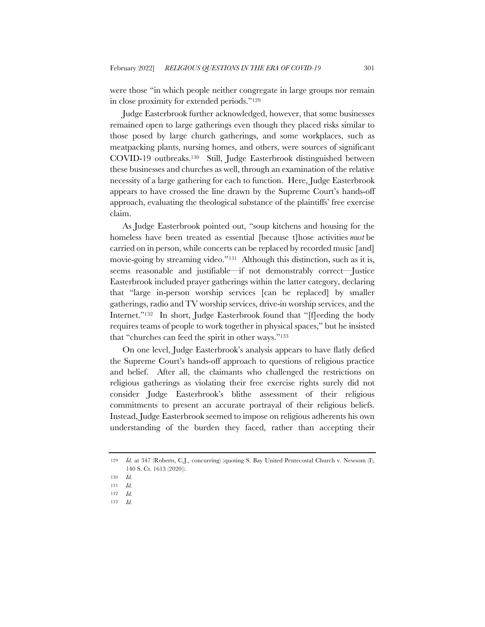were those "in which people neither congregate in large groups nor remain in close proximity for extended periods."129

Judge Easterbrook further acknowledged, however, that some businesses remained open to large gatherings even though they placed risks similar to those posed by large church gatherings, and some workplaces, such as meatpacking plants, nursing homes, and others, were sources of significant COVID-19 outbreaks.130 Still, Judge Easterbrook distinguished between these businesses and churches as well, through an examination of the relative necessity of a large gathering for each to function. Here, Judge Easterbrook appears to have crossed the line drawn by the Supreme Court's hands-off approach, evaluating the theological substance of the plaintiffs' free exercise claim.

As Judge Easterbrook pointed out, "soup kitchens and housing for the homeless have been treated as essential [because t]hose activities *must* be carried on in person, while concerts can be replaced by recorded music [and] movie-going by streaming video."131 Although this distinction, such as it is, seems reasonable and justifiable—if not demonstrably correct—Justice Easterbrook included prayer gatherings within the latter category, declaring that "large in-person worship services [can be replaced] by smaller gatherings, radio and TV worship services, drive-in worship services, and the Internet."<sup>132</sup> In short, Judge Easterbrook found that "[f]eeding the body requires teams of people to work together in physical spaces," but he insisted that "churches can feed the spirit in other ways."133

On one level, Judge Easterbrook's analysis appears to have flatly defied the Supreme Court's hands-off approach to questions of religious practice and belief. After all, the claimants who challenged the restrictions on religious gatherings as violating their free exercise rights surely did not consider Judge Easterbrook's blithe assessment of their religious commitments to present an accurate portrayal of their religious beliefs. Instead, Judge Easterbrook seemed to impose on religious adherents his own understanding of the burden they faced, rather than accepting their

<sup>129</sup> *Id.* at 347 (Roberts, C.J., concurring) (quoting S. Bay United Pentecostal Church v. Newsom (I), 140 S. Ct. 1613 (2020)).

<sup>130</sup> *Id.*

<sup>131</sup> *Id.*

<sup>132</sup> *Id.*

<sup>133</sup> *Id.*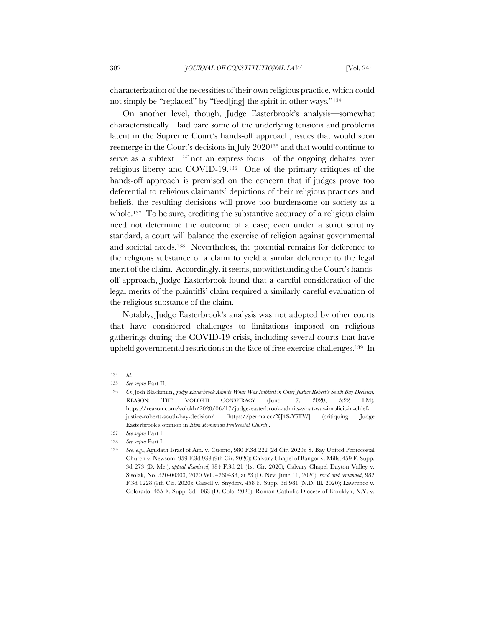characterization of the necessities of their own religious practice, which could not simply be "replaced" by "feed[ing] the spirit in other ways."134

On another level, though, Judge Easterbrook's analysis—somewhat characteristically—laid bare some of the underlying tensions and problems latent in the Supreme Court's hands-off approach, issues that would soon reemerge in the Court's decisions in July 2020135 and that would continue to serve as a subtext—if not an express focus—of the ongoing debates over religious liberty and COVID-19.136 One of the primary critiques of the hands-off approach is premised on the concern that if judges prove too deferential to religious claimants' depictions of their religious practices and beliefs, the resulting decisions will prove too burdensome on society as a whole.<sup>137</sup> To be sure, crediting the substantive accuracy of a religious claim need not determine the outcome of a case; even under a strict scrutiny standard, a court will balance the exercise of religion against governmental and societal needs.138 Nevertheless, the potential remains for deference to the religious substance of a claim to yield a similar deference to the legal merit of the claim. Accordingly, it seems, notwithstanding the Court's handsoff approach, Judge Easterbrook found that a careful consideration of the legal merits of the plaintiffs' claim required a similarly careful evaluation of the religious substance of the claim.

Notably, Judge Easterbrook's analysis was not adopted by other courts that have considered challenges to limitations imposed on religious gatherings during the COVID-19 crisis, including several courts that have upheld governmental restrictions in the face of free exercise challenges.139 In

<sup>134</sup> *Id.*

<sup>135</sup> *See supra* Part II.

<sup>136</sup> *Cf.* Josh Blackmun, *Judge Easterbrook Admits What Was Implicit in Chief Justice Robert's South Bay Decision*, REASON: THE VOLOKH CONSPIRACY (June 17, 2020, 5:22 PM), https://reason.com/volokh/2020/06/17/judge-easterbrook-admits-what-was-implicit-in-chiefjustice-roberts-south-bay-decision/ [https://perma.cc/XJ4S-Y7FW] (critiquing Judge Easterbrook's opinion in *Elim Romanian Pentecostal Church*).

<sup>137</sup> *See supra* Part I.

<sup>138</sup> *See supra* Part I.

<sup>139</sup> *See, e.g.*, Agudath Israel of Am. v. Cuomo, 980 F.3d 222 (2d Cir. 2020); S. Bay United Pentecostal Church v. Newsom, 959 F.3d 938 (9th Cir. 2020); Calvary Chapel of Bangor v. Mills, 459 F. Supp. 3d 273 (D. Me.), *appeal dismissed*, 984 F.3d 21 (1st Cir. 2020); Calvary Chapel Dayton Valley v. Sisolak, No. 320-00303, 2020 WL 4260438, at \*3 (D. Nev. June 11, 2020), *rev'd and remanded*, 982 F.3d 1228 (9th Cir. 2020); Cassell v. Snyders, 458 F. Supp. 3d 981 (N.D. Ill. 2020); Lawrence v. Colorado, 455 F. Supp. 3d 1063 (D. Colo. 2020); Roman Catholic Diocese of Brooklyn, N.Y. v.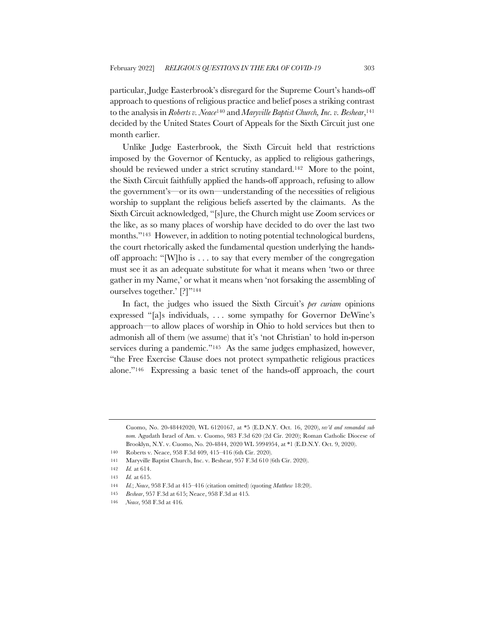particular, Judge Easterbrook's disregard for the Supreme Court's hands-off approach to questions of religious practice and belief poses a striking contrast to the analysis in *Roberts v. Neace*<sup>140</sup> and *Maryville Baptist Church, Inc. v. Beshear*,141 decided by the United States Court of Appeals for the Sixth Circuit just one month earlier.

Unlike Judge Easterbrook, the Sixth Circuit held that restrictions imposed by the Governor of Kentucky, as applied to religious gatherings, should be reviewed under a strict scrutiny standard.142 More to the point, the Sixth Circuit faithfully applied the hands-off approach, refusing to allow the government's—or its own—understanding of the necessities of religious worship to supplant the religious beliefs asserted by the claimants. As the Sixth Circuit acknowledged, "[s]ure, the Church might use Zoom services or the like, as so many places of worship have decided to do over the last two months."143 However, in addition to noting potential technological burdens, the court rhetorically asked the fundamental question underlying the handsoff approach: "[W]ho is . . . to say that every member of the congregation must see it as an adequate substitute for what it means when 'two or three gather in my Name,' or what it means when 'not forsaking the assembling of ourselves together.' [?]"144

In fact, the judges who issued the Sixth Circuit's *per curiam* opinions expressed "[a]s individuals, . . . some sympathy for Governor DeWine's approach—to allow places of worship in Ohio to hold services but then to admonish all of them (we assume) that it's 'not Christian' to hold in-person services during a pandemic."<sup>145</sup> As the same judges emphasized, however, "the Free Exercise Clause does not protect sympathetic religious practices alone."146 Expressing a basic tenet of the hands-off approach, the court

Cuomo, No. 20-48442020, WL 6120167, at \*5 (E.D.N.Y. Oct. 16, 2020), *rev'd and remanded sub nom.* Agudath Israel of Am. v. Cuomo, 983 F.3d 620 (2d Cir. 2020); Roman Catholic Diocese of Brooklyn, N.Y. v. Cuomo, No. 20-4844, 2020 WL 5994954, at \*1 (E.D.N.Y. Oct. 9, 2020).

<sup>140</sup> Roberts v. Neace, 958 F.3d 409, 415–416 (6th Cir. 2020).

<sup>141</sup> Maryville Baptist Church, Inc. v. Beshear, 957 F.3d 610 (6th Cir. 2020).

<sup>142</sup> *Id.* at 614.

<sup>143</sup> *Id.* at 615.

<sup>144</sup> *Id.*; *Neace*, 958 F.3d at 415–416 (citation omitted) (quoting *Matthew* 18:20).

<sup>145</sup> *Beshear*, 957 F.3d at 615; Neace, 958 F.3d at 415*.*

<sup>146</sup> *Neace*, 958 F.3d at 416*.*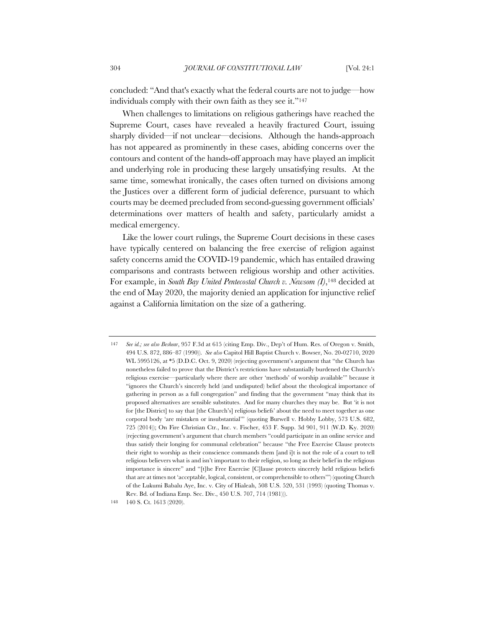concluded: "And that's exactly what the federal courts are not to judge—how individuals comply with their own faith as they see it."147

When challenges to limitations on religious gatherings have reached the Supreme Court, cases have revealed a heavily fractured Court, issuing sharply divided—if not unclear—decisions. Although the hands-approach has not appeared as prominently in these cases, abiding concerns over the contours and content of the hands-off approach may have played an implicit and underlying role in producing these largely unsatisfying results. At the same time, somewhat ironically, the cases often turned on divisions among the Justices over a different form of judicial deference, pursuant to which courts may be deemed precluded from second-guessing government officials' determinations over matters of health and safety, particularly amidst a medical emergency.

Like the lower court rulings, the Supreme Court decisions in these cases have typically centered on balancing the free exercise of religion against safety concerns amid the COVID-19 pandemic, which has entailed drawing comparisons and contrasts between religious worship and other activities. For example, in *South Bay United Pentecostal Church v. Newsom (I)*,148 decided at the end of May 2020, the majority denied an application for injunctive relief against a California limitation on the size of a gathering.

148 140 S. Ct. 1613 (2020).

<sup>147</sup> *See id.; see also Beshear*, 957 F.3d at 615 (citing Emp. Div., Dep't of Hum. Res. of Oregon v. Smith, 494 U.S. 872, 886–87 (1990)). *See also* Capitol Hill Baptist Church v. Bowser, No. 20-02710, 2020 WL 5995126, at \*5 (D.D.C. Oct. 9, 2020) (rejecting government's argument that "the Church has nonetheless failed to prove that the District's restrictions have substantially burdened the Church's religious exercise—particularly where there are other 'methods' of worship available'" because it "ignores the Church's sincerely held (and undisputed) belief about the theological importance of gathering in person as a full congregation" and finding that the government "may think that its proposed alternatives are sensible substitutes. And for many churches they may be. But 'it is not for [the District] to say that [the Church's] religious beliefs' about the need to meet together as one corporal body 'are mistaken or insubstantial'" (quoting Burwell v. Hobby Lobby, 573 U.S. 682, 725 (2014)); On Fire Christian Ctr., Inc. v. Fischer, 453 F. Supp. 3d 901, 911 (W.D. Ky. 2020) (rejecting government's argument that church members "could participate in an online service and thus satisfy their longing for communal celebration" because "the Free Exercise Clause protects their right to worship as their conscience commands them [and i]t is not the role of a court to tell religious believers what is and isn't important to their religion, so long as their belief in the religious importance is sincere" and "[t]he Free Exercise [C]lause protects sincerely held religious beliefs that are at times not 'acceptable, logical, consistent, or comprehensible to others'") (quoting Church of the Lukumi Babalu Aye, Inc. v. City of Hialeah, 508 U.S. 520, 531 (1993) (quoting Thomas v. Rev. Bd. of Indiana Emp. Sec. Div., 450 U.S. 707, 714 (1981))).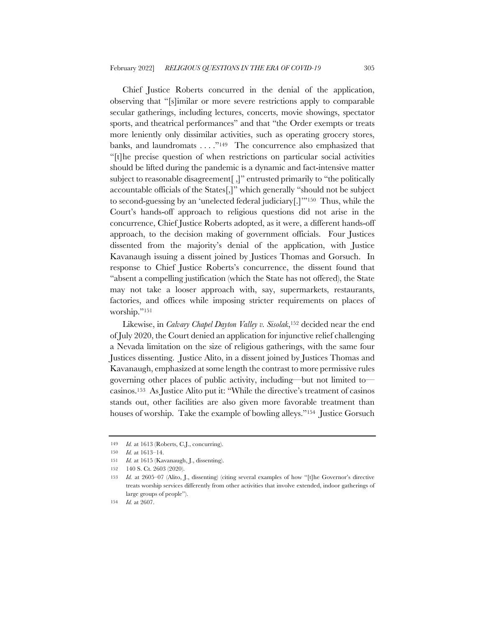Chief Justice Roberts concurred in the denial of the application, observing that "[s]imilar or more severe restrictions apply to comparable secular gatherings, including lectures, concerts, movie showings, spectator sports, and theatrical performances" and that "the Order exempts or treats more leniently only dissimilar activities, such as operating grocery stores, banks, and laundromats . . . . "<sup>149</sup> The concurrence also emphasized that "[t]he precise question of when restrictions on particular social activities should be lifted during the pandemic is a dynamic and fact-intensive matter subject to reasonable disagreement[ ,]" entrusted primarily to "the politically accountable officials of the States[,]" which generally "should not be subject to second-guessing by an 'unelected federal judiciary[.]'"150 Thus, while the Court's hands-off approach to religious questions did not arise in the concurrence, Chief Justice Roberts adopted, as it were, a different hands-off approach, to the decision making of government officials. Four Justices dissented from the majority's denial of the application, with Justice Kavanaugh issuing a dissent joined by Justices Thomas and Gorsuch. In response to Chief Justice Roberts's concurrence, the dissent found that "absent a compelling justification (which the State has not offered), the State may not take a looser approach with, say, supermarkets, restaurants, factories, and offices while imposing stricter requirements on places of worship."151

Likewise, in *Calvary Chapel Dayton Valley v. Sisolak*,152 decided near the end of July 2020, the Court denied an application for injunctive relief challenging a Nevada limitation on the size of religious gatherings, with the same four Justices dissenting. Justice Alito, in a dissent joined by Justices Thomas and Kavanaugh, emphasized at some length the contrast to more permissive rules governing other places of public activity, including—but not limited to casinos.153 As Justice Alito put it: "While the directive's treatment of casinos stands out, other facilities are also given more favorable treatment than houses of worship. Take the example of bowling alleys."154 Justice Gorsuch

<sup>149</sup> *Id.* at 1613 (Roberts, C.J., concurring).

<sup>150</sup> *Id.* at 1613–14.

<sup>151</sup> *Id.* at 1615 (Kavanaugh, J., dissenting).

<sup>152</sup> 140 S. Ct. 2603 (2020).

<sup>153</sup> *Id.* at 2605–07 (Alito, J., dissenting) (citing several examples of how "[t]he Governor's directive treats worship services differently from other activities that involve extended, indoor gatherings of large groups of people").

<sup>154</sup> *Id.* at 2607.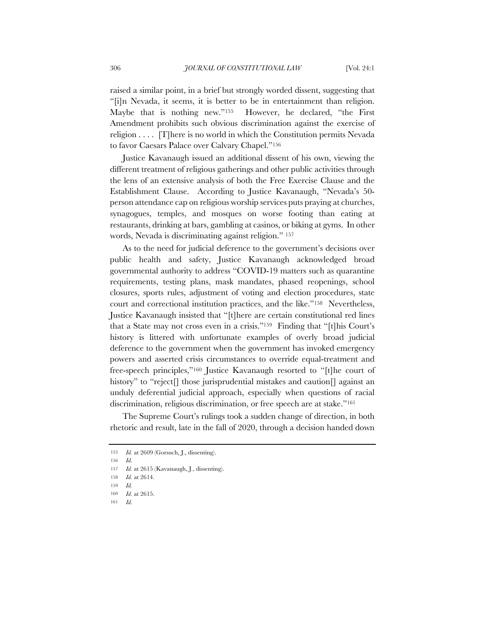raised a similar point, in a brief but strongly worded dissent, suggesting that "[i]n Nevada, it seems, it is better to be in entertainment than religion. Maybe that is nothing new."155 However, he declared, "the First Amendment prohibits such obvious discrimination against the exercise of religion . . . . [T]here is no world in which the Constitution permits Nevada to favor Caesars Palace over Calvary Chapel."156

Justice Kavanaugh issued an additional dissent of his own, viewing the different treatment of religious gatherings and other public activities through the lens of an extensive analysis of both the Free Exercise Clause and the Establishment Clause. According to Justice Kavanaugh, "Nevada's 50 person attendance cap on religious worship services puts praying at churches, synagogues, temples, and mosques on worse footing than eating at restaurants, drinking at bars, gambling at casinos, or biking at gyms. In other words, Nevada is discriminating against religion." 157

As to the need for judicial deference to the government's decisions over public health and safety, Justice Kavanaugh acknowledged broad governmental authority to address "COVID-19 matters such as quarantine requirements, testing plans, mask mandates, phased reopenings, school closures, sports rules, adjustment of voting and election procedures, state court and correctional institution practices, and the like."158 Nevertheless, Justice Kavanaugh insisted that "[t]here are certain constitutional red lines that a State may not cross even in a crisis."159 Finding that "[t]his Court's history is littered with unfortunate examples of overly broad judicial deference to the government when the government has invoked emergency powers and asserted crisis circumstances to override equal-treatment and free-speech principles,"160 Justice Kavanaugh resorted to "[t]he court of history" to "reject<sup>[]</sup> those jurisprudential mistakes and caution<sup>[]</sup> against an unduly deferential judicial approach, especially when questions of racial discrimination, religious discrimination, or free speech are at stake."161

The Supreme Court's rulings took a sudden change of direction, in both rhetoric and result, late in the fall of 2020, through a decision handed down

<sup>155</sup> *Id.* at 2609 (Gorsuch, J., dissenting).

<sup>156</sup> *Id.*

<sup>157</sup> *Id.* at 2615 (Kavanaugh, J., dissenting).

<sup>158</sup> *Id.* at 2614.

<sup>159</sup> *Id.*

<sup>160</sup> *Id.* at 2615.

<sup>161</sup> *Id.*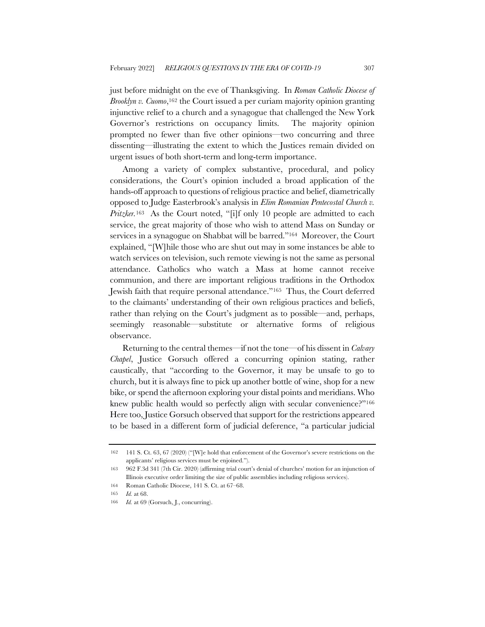just before midnight on the eve of Thanksgiving. In *Roman Catholic Diocese of Brooklyn v. Cuomo*,162 the Court issued a per curiam majority opinion granting injunctive relief to a church and a synagogue that challenged the New York Governor's restrictions on occupancy limits. The majority opinion prompted no fewer than five other opinions—two concurring and three dissenting—illustrating the extent to which the Justices remain divided on urgent issues of both short-term and long-term importance.

Among a variety of complex substantive, procedural, and policy considerations, the Court's opinion included a broad application of the hands-off approach to questions of religious practice and belief, diametrically opposed to Judge Easterbrook's analysis in *Elim Romanian Pentecostal Church v. Pritzker.*<sup>163</sup> As the Court noted, "[i]f only 10 people are admitted to each service, the great majority of those who wish to attend Mass on Sunday or services in a synagogue on Shabbat will be barred."164 Moreover, the Court explained, "[W]hile those who are shut out may in some instances be able to watch services on television, such remote viewing is not the same as personal attendance. Catholics who watch a Mass at home cannot receive communion, and there are important religious traditions in the Orthodox Jewish faith that require personal attendance."165 Thus, the Court deferred to the claimants' understanding of their own religious practices and beliefs, rather than relying on the Court's judgment as to possible—and, perhaps, seemingly reasonable—substitute or alternative forms of religious observance.

Returning to the central themes—if not the tone—of his dissent in *Calvary Chapel*, Justice Gorsuch offered a concurring opinion stating, rather caustically, that "according to the Governor, it may be unsafe to go to church, but it is always fine to pick up another bottle of wine, shop for a new bike, or spend the afternoon exploring your distal points and meridians. Who knew public health would so perfectly align with secular convenience?"<sup>166</sup> Here too, Justice Gorsuch observed that support for the restrictions appeared to be based in a different form of judicial deference, "a particular judicial

164 Roman Catholic Diocese, 141 S. Ct. at 67–68.

<sup>162</sup> 141 S. Ct. 63, 67 (2020) ("[W]e hold that enforcement of the Governor's severe restrictions on the applicants' religious services must be enjoined.").

<sup>163</sup> 962 F.3d 341 (7th Cir. 2020) (affirming trial court's denial of churches' motion for an injunction of Illinois executive order limiting the size of public assemblies including religious services).

<sup>165</sup> *Id.* at 68.

<sup>166</sup> *Id.* at 69 (Gorsuch, J., concurring).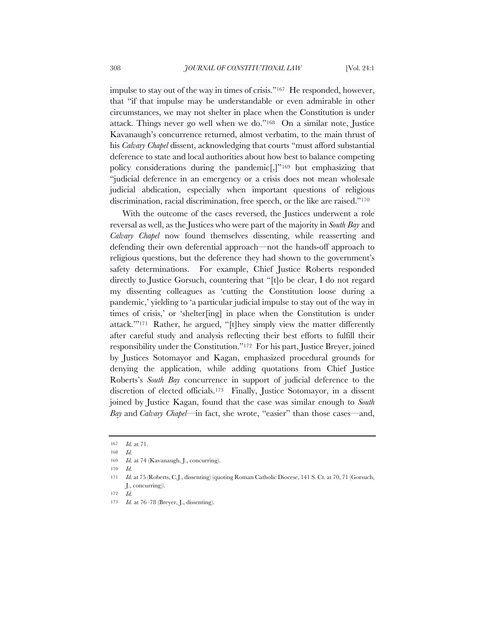impulse to stay out of the way in times of crisis."167 He responded, however, that "if that impulse may be understandable or even admirable in other circumstances, we may not shelter in place when the Constitution is under attack. Things never go well when we do."168 On a similar note, Justice Kavanaugh's concurrence returned, almost verbatim, to the main thrust of his *Calvary Chapel* dissent, acknowledging that courts "must afford substantial deference to state and local authorities about how best to balance competing policy considerations during the pandemic[,]"169 but emphasizing that "judicial deference in an emergency or a crisis does not mean wholesale judicial abdication, especially when important questions of religious discrimination, racial discrimination, free speech, or the like are raised."<sup>170</sup>

With the outcome of the cases reversed, the Justices underwent a role reversal as well, as the Justices who were part of the majority in *South Bay* and *Calvary Chapel* now found themselves dissenting, while reasserting and defending their own deferential approach—not the hands-off approach to religious questions, but the deference they had shown to the government's safety determinations. For example, Chief Justice Roberts responded directly to Justice Gorsuch, countering that "[t]o be clear, I do not regard my dissenting colleagues as 'cutting the Constitution loose during a pandemic,' yielding to 'a particular judicial impulse to stay out of the way in times of crisis,' or 'shelter[ing] in place when the Constitution is under attack.'"171 Rather, he argued, "[t]hey simply view the matter differently after careful study and analysis reflecting their best efforts to fulfill their responsibility under the Constitution."172 For his part, Justice Breyer, joined by Justices Sotomayor and Kagan, emphasized procedural grounds for denying the application, while adding quotations from Chief Justice Roberts's *South Bay* concurrence in support of judicial deference to the discretion of elected officials.173 Finally, Justice Sotomayor, in a dissent joined by Justice Kagan, found that the case was similar enough to *South Bay* and *Calvary Chapel*—in fact, she wrote, "easier" than those cases—and,

<sup>167</sup> *Id.* at 71.

<sup>168</sup> *Id.*

<sup>169</sup> *Id.* at 74 (Kavanaugh, J., concurring).

<sup>170</sup> *Id.*

<sup>171</sup> *Id.* at 75 (Roberts, C.J., dissenting) (quoting Roman Catholic Diocese, 141 S. Ct. at 70, 71 (Gorsuch, J., concurring)).

<sup>172</sup> *Id.*

<sup>173</sup> *Id.* at 76–78 (Breyer, J., dissenting).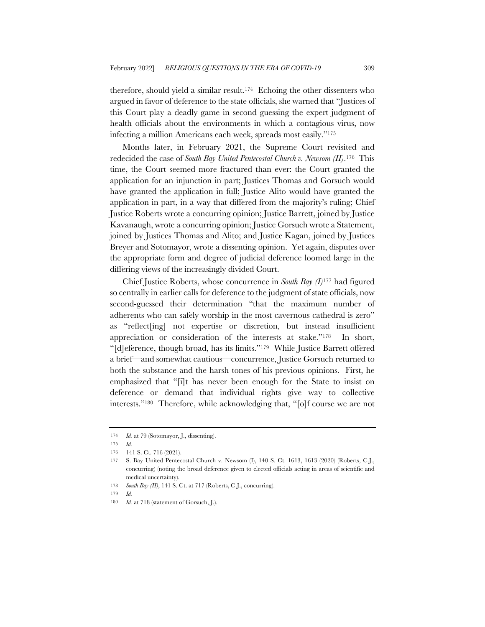therefore, should yield a similar result.174 Echoing the other dissenters who argued in favor of deference to the state officials, she warned that "Justices of this Court play a deadly game in second guessing the expert judgment of health officials about the environments in which a contagious virus, now infecting a million Americans each week, spreads most easily."175

Months later, in February 2021, the Supreme Court revisited and redecided the case of *South Bay United Pentecostal Church v. Newsom (II)*.176 This time, the Court seemed more fractured than ever: the Court granted the application for an injunction in part; Justices Thomas and Gorsuch would have granted the application in full; Justice Alito would have granted the application in part, in a way that differed from the majority's ruling; Chief Justice Roberts wrote a concurring opinion; Justice Barrett, joined by Justice Kavanaugh, wrote a concurring opinion; Justice Gorsuch wrote a Statement, joined by Justices Thomas and Alito; and Justice Kagan, joined by Justices Breyer and Sotomayor, wrote a dissenting opinion. Yet again, disputes over the appropriate form and degree of judicial deference loomed large in the differing views of the increasingly divided Court.

Chief Justice Roberts, whose concurrence in *South Bay (I)*<sup>177</sup> had figured so centrally in earlier calls for deference to the judgment of state officials, now second-guessed their determination "that the maximum number of adherents who can safely worship in the most cavernous cathedral is zero" as "reflect[ing] not expertise or discretion, but instead insufficient appreciation or consideration of the interests at stake."178 In short, "[d]eference, though broad, has its limits."179 While Justice Barrett offered a brief—and somewhat cautious—concurrence, Justice Gorsuch returned to both the substance and the harsh tones of his previous opinions. First, he emphasized that "[i]t has never been enough for the State to insist on deference or demand that individual rights give way to collective interests."180 Therefore, while acknowledging that, "[o]f course we are not

<sup>174</sup> *Id.* at 79 (Sotomayor, J., dissenting).

<sup>175</sup> *Id.*

<sup>176</sup> 141 S. Ct. 716 (2021).

<sup>177</sup> S. Bay United Pentecostal Church v. Newsom (I), 140 S. Ct. 1613, 1613 (2020) (Roberts, C.J., concurring) (noting the broad deference given to elected officials acting in areas of scientific and medical uncertainty).

<sup>178</sup> *South Bay (II)*, 141 S. Ct. at 717 (Roberts, C.J., concurring).

<sup>179</sup> *Id.*

<sup>180</sup> *Id.* at 718 (statement of Gorsuch, J.).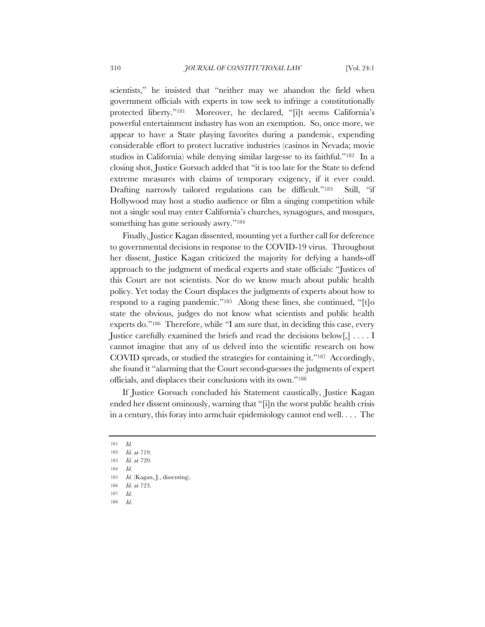scientists," he insisted that "neither may we abandon the field when government officials with experts in tow seek to infringe a constitutionally protected liberty."181 Moreover, he declared, "[i]t seems California's powerful entertainment industry has won an exemption. So, once more, we appear to have a State playing favorites during a pandemic, expending considerable effort to protect lucrative industries (casinos in Nevada; movie studios in California) while denying similar largesse to its faithful."182 In a closing shot, Justice Gorsuch added that "it is too late for the State to defend extreme measures with claims of temporary exigency, if it ever could. Drafting narrowly tailored regulations can be difficult."<sup>183</sup> Still, "if Hollywood may host a studio audience or film a singing competition while not a single soul may enter California's churches, synagogues, and mosques, something has gone seriously awry."<sup>184</sup>

Finally, Justice Kagan dissented, mounting yet a further call for deference to governmental decisions in response to the COVID-19 virus. Throughout her dissent, Justice Kagan criticized the majority for defying a hands-off approach to the judgment of medical experts and state officials: "Justices of this Court are not scientists. Nor do we know much about public health policy. Yet today the Court displaces the judgments of experts about how to respond to a raging pandemic."185 Along these lines, she continued, "[t]o state the obvious, judges do not know what scientists and public health experts do."186 Therefore, while "I am sure that, in deciding this case, every Justice carefully examined the briefs and read the decisions below[,] . . . . I cannot imagine that any of us delved into the scientific research on how COVID spreads, or studied the strategies for containing it."187 Accordingly, she found it "alarming that the Court second-guesses the judgments of expert officials, and displaces their conclusions with its own."188

If Justice Gorsuch concluded his Statement caustically, Justice Kagan ended her dissent ominously, warning that "[i]n the worst public health crisis in a century, this foray into armchair epidemiology cannot end well. . . . The

- 187 *Id.*
- 188 *Id*.

<sup>181</sup> *Id.*

<sup>182</sup> *Id.* at 719.

<sup>183</sup> *Id.* at 720.

<sup>184</sup> *Id.*

<sup>185</sup> *Id.* (Kagan, J., dissenting).

<sup>186</sup> *Id.* at 723.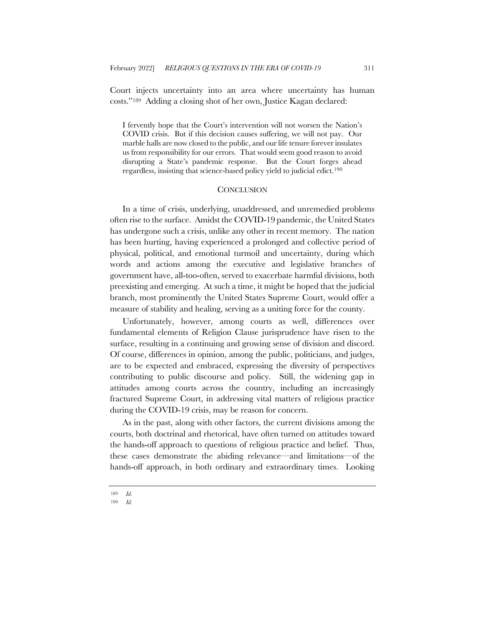Court injects uncertainty into an area where uncertainty has human costs."189 Adding a closing shot of her own, Justice Kagan declared:

I fervently hope that the Court's intervention will not worsen the Nation's COVID crisis. But if this decision causes suffering, we will not pay. Our marble halls are now closed to the public, and our life tenure forever insulates us from responsibility for our errors. That would seem good reason to avoid disrupting a State's pandemic response. But the Court forges ahead regardless, insisting that science-based policy yield to judicial edict.190

#### **CONCLUSION**

In a time of crisis, underlying, unaddressed, and unremedied problems often rise to the surface. Amidst the COVID-19 pandemic, the United States has undergone such a crisis, unlike any other in recent memory. The nation has been hurting, having experienced a prolonged and collective period of physical, political, and emotional turmoil and uncertainty, during which words and actions among the executive and legislative branches of government have, all-too-often, served to exacerbate harmful divisions, both preexisting and emerging. At such a time, it might be hoped that the judicial branch, most prominently the United States Supreme Court, would offer a measure of stability and healing, serving as a uniting force for the county.

Unfortunately, however, among courts as well, differences over fundamental elements of Religion Clause jurisprudence have risen to the surface, resulting in a continuing and growing sense of division and discord. Of course, differences in opinion, among the public, politicians, and judges, are to be expected and embraced, expressing the diversity of perspectives contributing to public discourse and policy. Still, the widening gap in attitudes among courts across the country, including an increasingly fractured Supreme Court, in addressing vital matters of religious practice during the COVID-19 crisis, may be reason for concern.

As in the past, along with other factors, the current divisions among the courts, both doctrinal and rhetorical, have often turned on attitudes toward the hands-off approach to questions of religious practice and belief. Thus, these cases demonstrate the abiding relevance—and limitations—of the hands-off approach, in both ordinary and extraordinary times. Looking

<sup>189</sup> *Id.*

<sup>190</sup> *Id.*